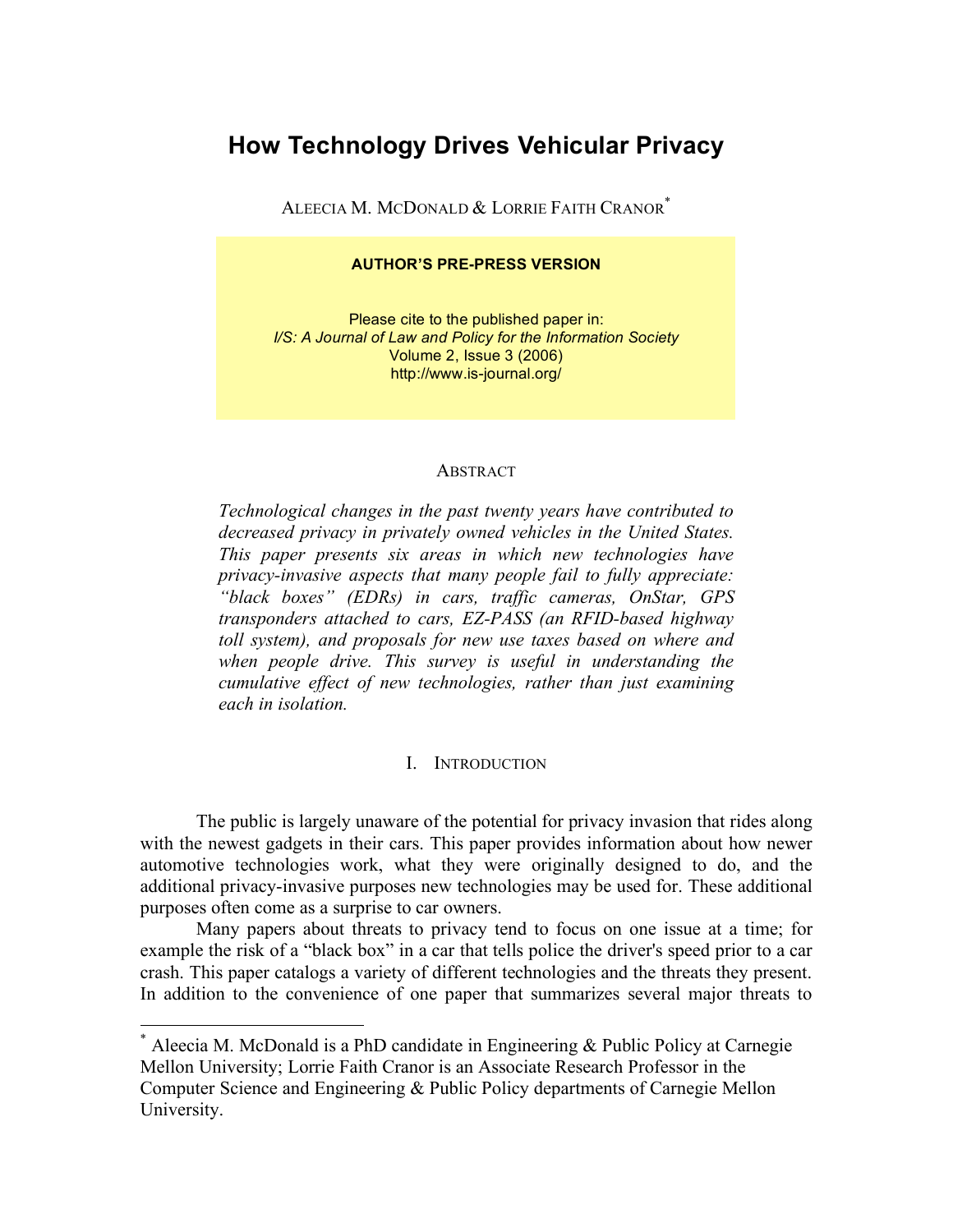# **How Technology Drives Vehicular Privacy**

ALEECIA M. MCDONALD & LORRIE FAITH CRANOR\*

#### **AUTHOR'S PRE-PRESS VERSION**

Please cite to the published paper in: *I/S: A Journal of Law and Policy for the Information Society* Volume 2, Issue 3 (2006) http://www.is-journal.org/

#### **ABSTRACT**

*Technological changes in the past twenty years have contributed to decreased privacy in privately owned vehicles in the United States. This paper presents six areas in which new technologies have privacy-invasive aspects that many people fail to fully appreciate: "black boxes" (EDRs) in cars, traffic cameras, OnStar, GPS transponders attached to cars, EZ-PASS (an RFID-based highway toll system), and proposals for new use taxes based on where and when people drive. This survey is useful in understanding the cumulative effect of new technologies, rather than just examining each in isolation.*

#### I. INTRODUCTION

The public is largely unaware of the potential for privacy invasion that rides along with the newest gadgets in their cars. This paper provides information about how newer automotive technologies work, what they were originally designed to do, and the additional privacy-invasive purposes new technologies may be used for. These additional purposes often come as a surprise to car owners.

Many papers about threats to privacy tend to focus on one issue at a time; for example the risk of a "black box" in a car that tells police the driver's speed prior to a car crash. This paper catalogs a variety of different technologies and the threats they present. In addition to the convenience of one paper that summarizes several major threats to

 <sup>\*</sup> Aleecia M. McDonald is <sup>a</sup> PhD candidate in Engineering & Public Policy at Carnegie Mellon University; Lorrie Faith Cranor is an Associate Research Professor in the Computer Science and Engineering & Public Policy departments of Carnegie Mellon University.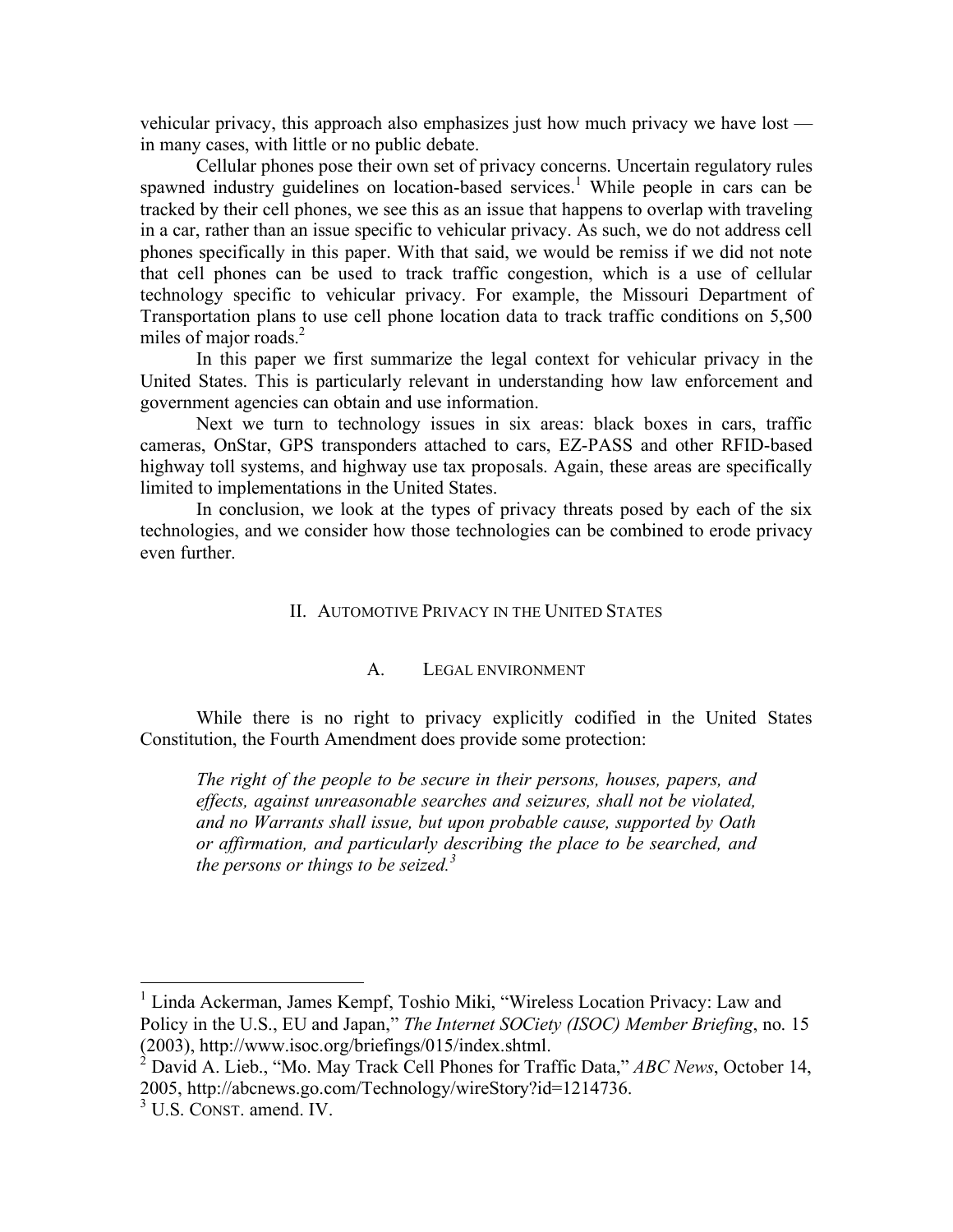vehicular privacy, this approach also emphasizes just how much privacy we have lost in many cases, with little or no public debate.

Cellular phones pose their own set of privacy concerns. Uncertain regulatory rules spawned industry guidelines on location-based services.<sup>1</sup> While people in cars can be tracked by their cell phones, we see this as an issue that happens to overlap with traveling in a car, rather than an issue specific to vehicular privacy. As such, we do not address cell phones specifically in this paper. With that said, we would be remiss if we did not note that cell phones can be used to track traffic congestion, which is a use of cellular technology specific to vehicular privacy. For example, the Missouri Department of Transportation plans to use cell phone location data to track traffic conditions on 5,500 miles of major roads.<sup>2</sup>

In this paper we first summarize the legal context for vehicular privacy in the United States. This is particularly relevant in understanding how law enforcement and government agencies can obtain and use information.

Next we turn to technology issues in six areas: black boxes in cars, traffic cameras, OnStar, GPS transponders attached to cars, EZ-PASS and other RFID-based highway toll systems, and highway use tax proposals. Again, these areas are specifically limited to implementations in the United States.

In conclusion, we look at the types of privacy threats posed by each of the six technologies, and we consider how those technologies can be combined to erode privacy even further.

#### II. AUTOMOTIVE PRIVACY IN THE UNITED STATES

### A. LEGAL ENVIRONMENT

While there is no right to privacy explicitly codified in the United States Constitution, the Fourth Amendment does provide some protection:

*The right of the people to be secure in their persons, houses, papers, and effects, against unreasonable searches and seizures, shall not be violated, and no Warrants shall issue, but upon probable cause, supported by Oath or affirmation, and particularly describing the place to be searched, and the persons or things to be seized.<sup>3</sup>*

<sup>&</sup>lt;sup>1</sup> Linda Ackerman, James Kempf, Toshio Miki, "Wireless Location Privacy: Law and Policy in the U.S., EU and Japan," *The Internet SOCiety (ISOC) Member Briefing*, no. 15

David A. Lieb., "Mo. May Track Cell Phones for Traffic Data," *ABC News*, October 14, 2005, http://abcnews.go.com/Technology/wireStory?id=1214736. <sup>3</sup> U.S. CONST. amend. IV.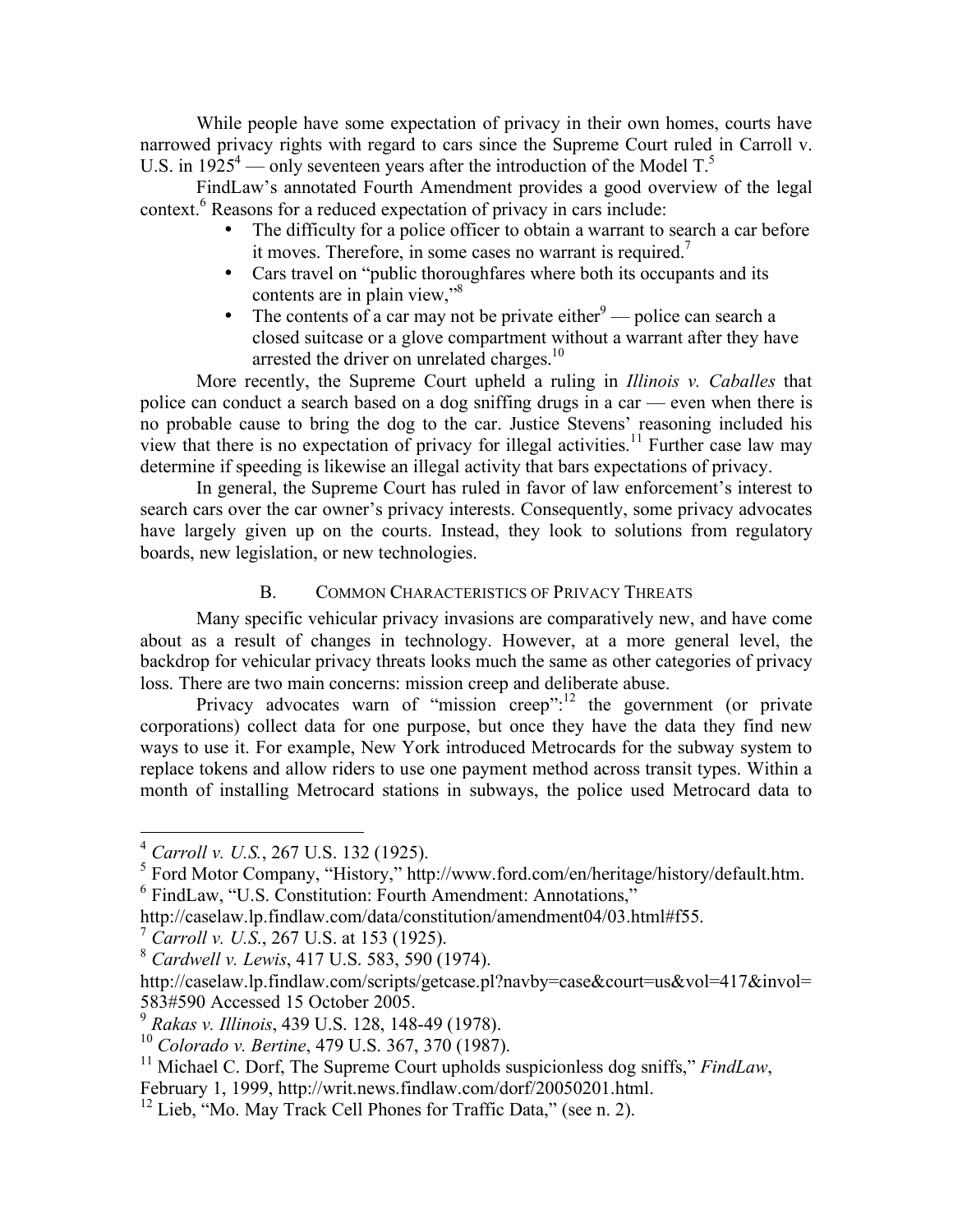While people have some expectation of privacy in their own homes, courts have narrowed privacy rights with regard to cars since the Supreme Court ruled in Carroll v. U.S. in  $1925^4$  — only seventeen years after the introduction of the Model T.<sup>5</sup>

FindLaw's annotated Fourth Amendment provides a good overview of the legal context. <sup>6</sup> Reasons for a reduced expectation of privacy in cars include:

- The difficulty for a police officer to obtain a warrant to search a car before it moves. Therefore, in some cases no warrant is required.<sup>7</sup>
- Cars travel on "public thoroughfares where both its occupants and its contents are in plain view,"<sup>8</sup>
- The contents of a car may not be private either  $9$  police can search a closed suitcase or a glove compartment without a warrant after they have arrested the driver on unrelated charges.<sup>10</sup>

More recently, the Supreme Court upheld a ruling in *Illinois v. Caballes* that police can conduct a search based on a dog sniffing drugs in a car — even when there is no probable cause to bring the dog to the car. Justice Stevens' reasoning included his view that there is no expectation of privacy for illegal activities. <sup>11</sup> Further case law may determine if speeding is likewise an illegal activity that bars expectations of privacy.

In general, the Supreme Court has ruled in favor of law enforcement's interest to search cars over the car owner's privacy interests. Consequently, some privacy advocates have largely given up on the courts. Instead, they look to solutions from regulatory boards, new legislation, or new technologies.

# B. COMMON CHARACTERISTICS OF PRIVACY THREATS

Many specific vehicular privacy invasions are comparatively new, and have come about as a result of changes in technology. However, at a more general level, the backdrop for vehicular privacy threats looks much the same as other categories of privacy loss. There are two main concerns: mission creep and deliberate abuse.

Privacy advocates warn of "mission creep":<sup>12</sup> the government (or private corporations) collect data for one purpose, but once they have the data they find new ways to use it. For example, New York introduced Metrocards for the subway system to replace tokens and allow riders to use one payment method across transit types. Within a month of installing Metrocard stations in subways, the police used Metrocard data to

<sup>&</sup>lt;sup>4</sup> *Carroll v. U.S.*, 267 U.S. 132 (1925).<br><sup>5</sup> Ford Motor Company, "History," http://www.ford.com/en/heritage/history/default.htm. 6 FindLaw, "U.S. Constitution: Fourth Amendment: Annotations,"

http://caselaw.lp.findlaw.com/data/constitution/amendment04/03.html#f55. <sup>7</sup> *Carroll v. U.S*., 267 U.S. at <sup>153</sup> (1925). <sup>8</sup> *Cardwell v. Lewis*, <sup>417</sup> U.S. 583, <sup>590</sup> (1974).

http://caselaw.lp.findlaw.com/scripts/getcase.pl?navby=case&court=us&vol=417&invol= 583#590 Accessed 15 October 2005.<br><sup>9</sup> Rakas v. Illinois, 439 U.S. 128, 148-49 (1978).

<sup>&</sup>lt;sup>10</sup> *Colorado v. Bertine*, 479 U.S. 367, 370 (1987).<br><sup>11</sup> Michael C. Dorf, The Supreme Court upholds suspicionless dog sniffs," *FindLaw*, February 1, 1999, http://writ.news.findlaw.com/dorf/20050201.html.

 $12$  Lieb, "Mo. May Track Cell Phones for Traffic Data," (see n. 2).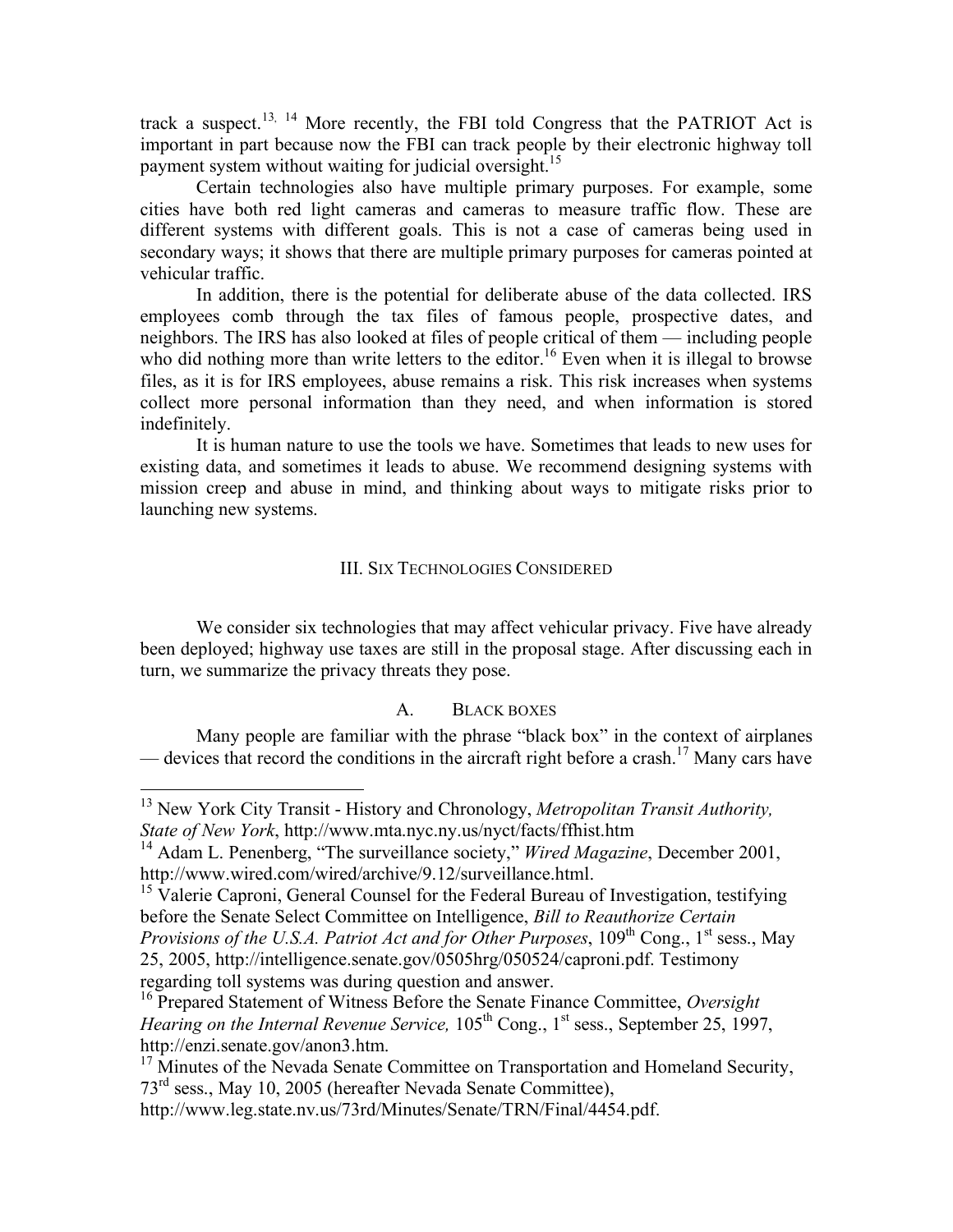track a suspect.<sup>13, 14</sup> More recently, the FBI told Congress that the PATRIOT Act is important in part because now the FBI can track people by their electronic highway toll payment system without waiting for judicial oversight.<sup>15</sup>

Certain technologies also have multiple primary purposes. For example, some cities have both red light cameras and cameras to measure traffic flow. These are different systems with different goals. This is not a case of cameras being used in secondary ways; it shows that there are multiple primary purposes for cameras pointed at vehicular traffic.

In addition, there is the potential for deliberate abuse of the data collected. IRS employees comb through the tax files of famous people, prospective dates, and neighbors. The IRS has also looked at files of people critical of them — including people who did nothing more than write letters to the editor.<sup>16</sup> Even when it is illegal to browse files, as it is for IRS employees, abuse remains a risk. This risk increases when systems collect more personal information than they need, and when information is stored indefinitely.

It is human nature to use the tools we have. Sometimes that leads to new uses for existing data, and sometimes it leads to abuse. We recommend designing systems with mission creep and abuse in mind, and thinking about ways to mitigate risks prior to launching new systems.

### III. SIX TECHNOLOGIES CONSIDERED

We consider six technologies that may affect vehicular privacy. Five have already been deployed; highway use taxes are still in the proposal stage. After discussing each in turn, we summarize the privacy threats they pose.

### A. BLACK BOXES

Many people are familiar with the phrase "black box" in the context of airplanes — devices that record the conditions in the aircraft right before a crash.<sup>17</sup> Many cars have

 <sup>13</sup> New York City Transit - History and Chronology, *Metropolitan Transit Authority, State of New York*, http://www.mta.nyc.ny.us/nyct/facts/ffhist.htm

<sup>14</sup> Adam L. Penenberg, "The surveillance society," *Wired Magazine*, December 2001, http://www.wired.com/wired/archive/9.12/surveillance.html.<br><sup>15</sup> Valerie Caproni, General Counsel for the Federal Bureau of Investigation, testifying

before the Senate Select Committee on Intelligence, *Bill to Reauthorize Certain Provisions of the U.S.A. Patriot Act and for Other Purposes*, 109th Cong., 1st sess., May 25, 2005, http://intelligence.senate.gov/0505hrg/050524/caproni.pdf. Testimony regarding toll systems was during question and answer. <sup>16</sup> Prepared Statement of Witness Before the Senate Finance Committee, *Oversight*

Hearing on the Internal Revenue Service, 105<sup>th</sup> Cong., 1<sup>st</sup> sess., September 25, 1997, http://enzi.senate.gov/anon3.htm.<br><sup>17</sup> Minutes of the Nevada Senate Committee on Transportation and Homeland Security,

<sup>73&</sup>lt;sup>rd</sup> sess., May 10, 2005 (hereafter Nevada Senate Committee),

http://www.leg.state.nv.us/73rd/Minutes/Senate/TRN/Final/4454.pdf.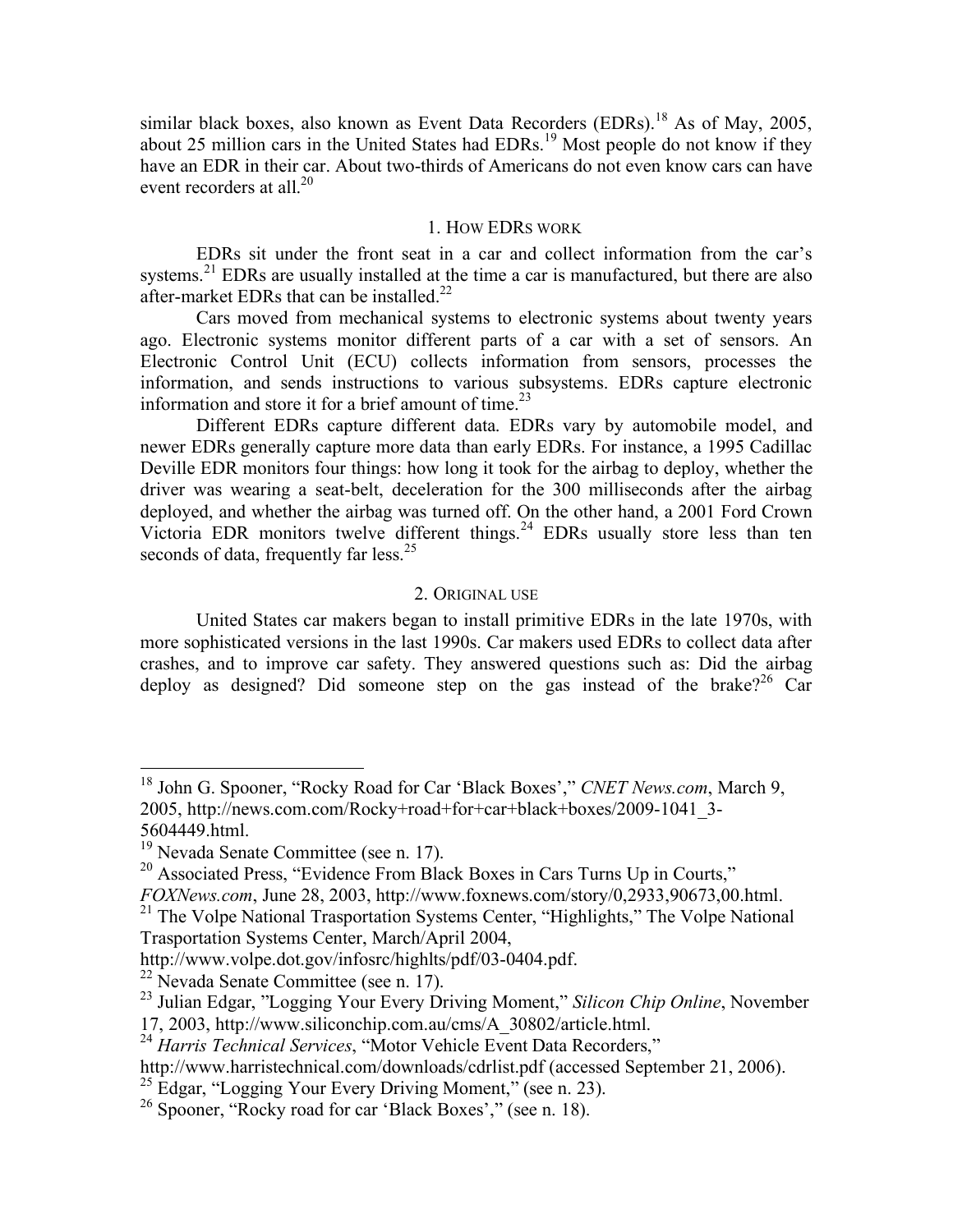similar black boxes, also known as Event Data Recorders (EDRs).<sup>18</sup> As of May, 2005, about 25 million cars in the United States had EDRs.<sup>19</sup> Most people do not know if they have an EDR in their car. About two-thirds of Americans do not even know cars can have event recorders at all.<sup>20</sup>

### 1. HOW EDRS WORK

EDRs sit under the front seat in a car and collect information from the car's systems.<sup>21</sup> EDRs are usually installed at the time a car is manufactured, but there are also after-market EDRs that can be installed.<sup>22</sup>

Cars moved from mechanical systems to electronic systems about twenty years ago. Electronic systems monitor different parts of a car with a set of sensors. An Electronic Control Unit (ECU) collects information from sensors, processes the information, and sends instructions to various subsystems. EDRs capture electronic information and store it for a brief amount of time.<sup>23</sup>

Different EDRs capture different data. EDRs vary by automobile model, and newer EDRs generally capture more data than early EDRs. For instance, a 1995 Cadillac Deville EDR monitors four things: how long it took for the airbag to deploy, whether the driver was wearing a seat-belt, deceleration for the 300 milliseconds after the airbag deployed, and whether the airbag was turned off. On the other hand, a 2001 Ford Crown Victoria EDR monitors twelve different things. <sup>24</sup> EDRs usually store less than ten seconds of data, frequently far less.<sup>25</sup>

### 2. ORIGINAL USE

United States car makers began to install primitive EDRs in the late 1970s, with more sophisticated versions in the last 1990s. Car makers used EDRs to collect data after crashes, and to improve car safety. They answered questions such as: Did the airbag deploy as designed? Did someone step on the gas instead of the brake?<sup>26</sup> Car

http://www.harristechnical.com/downloads/cdrlist.pdf (accessed September 21, 2006).<br><sup>25</sup> Edgar, "Logging Your Every Driving Moment," (see n. 23).<br><sup>26</sup> Spooner, "Rocky road for car 'Black Boxes'," (see n. 18).

 <sup>18</sup> John G. Spooner, "Rocky Road for Car 'Black Boxes'," *CNET News.com*, March 9, 2005, http://news.com.com/Rocky+road+for+car+black+boxes/2009-1041\_3-

<sup>&</sup>lt;sup>19</sup> Nevada Senate Committee (see n. 17).<br><sup>20</sup> Associated Press, "Evidence From Black Boxes in Cars Turns Up in Courts,"

*FOXNews.com*, June 28, 2003, http://www.foxnews.com/story/0,2933,90673,00.html.<br><sup>21</sup> The Volpe National Trasportation Systems Center, "Highlights," The Volpe National Trasportation Systems Center, March/April 2004,

http://www.volpe.dot.gov/infosrc/highlts/pdf/03-0404.pdf.<br><sup>22</sup> Nevada Senate Committee (see n. 17).<br><sup>23</sup> Julian Edgar, "Logging Your Every Driving Moment," *Silicon Chip Online*, November 17, 2003, http://www.siliconchip.com.au/cms/A\_30802/article.html. <sup>24</sup> *Harris Technical Services*, "Motor Vehicle Event Data Recorders,"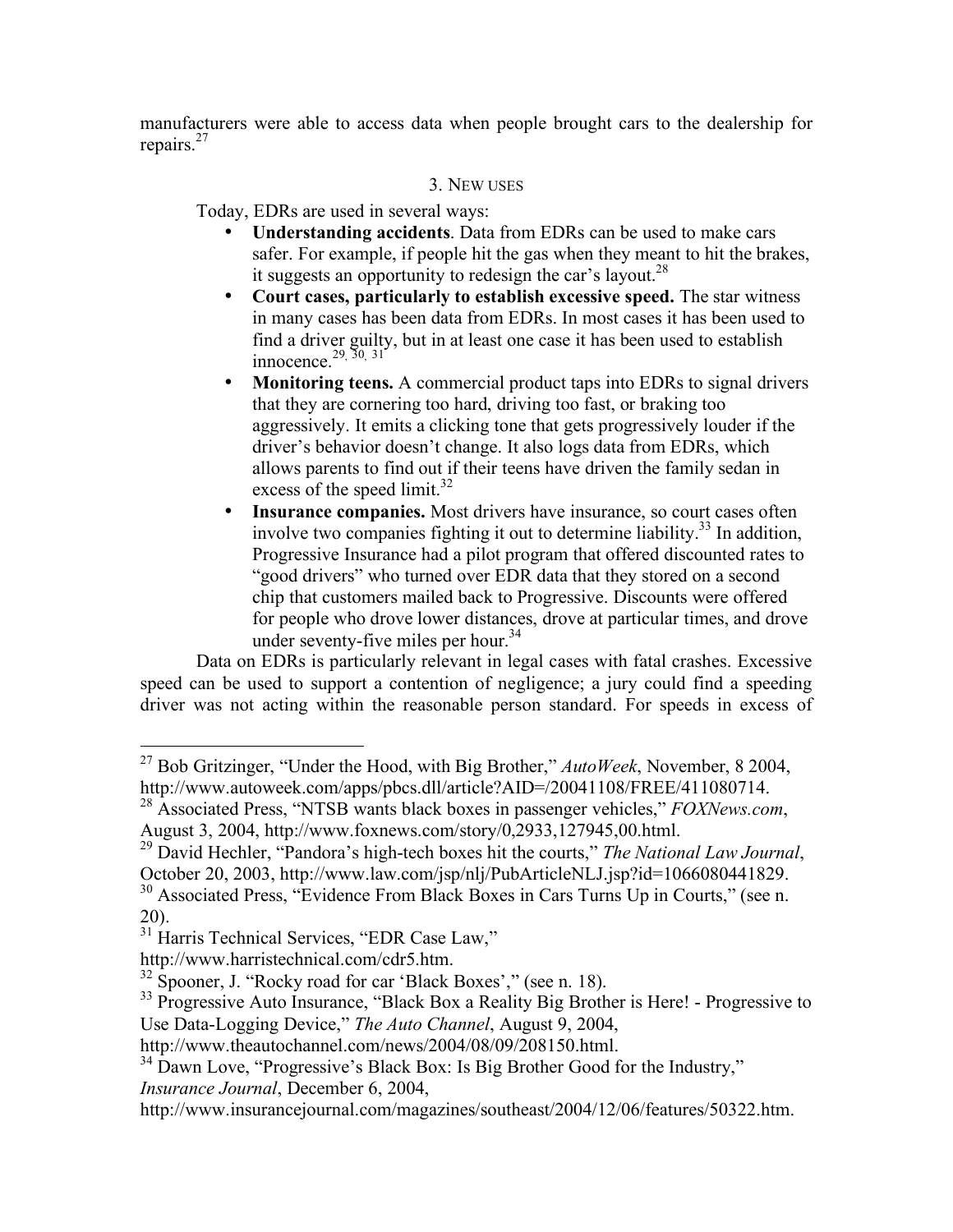manufacturers were able to access data when people brought cars to the dealership for repairs. 27

# 3. NEW USES

Today, EDRs are used in several ways:

- **Understanding accidents**. Data from EDRs can be used to make cars safer. For example, if people hit the gas when they meant to hit the brakes, it suggests an opportunity to redesign the car's layout.<sup>28</sup>
- **Court cases, particularly to establish excessive speed.** The star witness in many cases has been data from EDRs. In most cases it has been used to find a driver guilty, but in at least one case it has been used to establish innocence.<sup>29, 30, 31</sup>
- **Monitoring teens.** A commercial product taps into EDRs to signal drivers that they are cornering too hard, driving too fast, or braking too aggressively. It emits a clicking tone that gets progressively louder if the driver's behavior doesn't change. It also logs data from EDRs, which allows parents to find out if their teens have driven the family sedan in excess of the speed limit.<sup>32</sup>
- **Insurance companies.** Most drivers have insurance, so court cases often involve two companies fighting it out to determine liability. <sup>33</sup> In addition, Progressive Insurance had a pilot program that offered discounted rates to "good drivers" who turned over EDR data that they stored on a second chip that customers mailed back to Progressive. Discounts were offered for people who drove lower distances, drove at particular times, and drove under seventy-five miles per hour.<sup>34</sup>

Data on EDRs is particularly relevant in legal cases with fatal crashes. Excessive speed can be used to support a contention of negligence; a jury could find a speeding driver was not acting within the reasonable person standard. For speeds in excess of

 <sup>27</sup> Bob Gritzinger, "Under the Hood, with Big Brother," *AutoWeek*, November, <sup>8</sup> 2004,

http://www.autoweek.com/apps/pbcs.dll/article?AID=/20041108/FREE/411080714.<br><sup>28</sup> Associated Press, "NTSB wants black boxes in passenger vehicles," *FOXNews.com*, August 3, 2004, http://www.foxnews.com/story/0,2933,127945,0

<sup>&</sup>lt;sup>29</sup> David Hechler, "Pandora's high-tech boxes hit the courts," *The National Law Journal*,

October 20, 2003, http://www.law.com/jsp/nlj/PubArticleNLJ.jsp?id=1066080441829. <sup>30</sup> Associated Press, "Evidence From Black Boxes in Cars Turns Up in Courts," (see n.

<sup>20).&</sup>lt;br><sup>31</sup> Harris Technical Services, "EDR Case Law,"

http://www.harristechnical.com/cdr5.htm.<br><sup>32</sup> Spooner, J. "Rocky road for car 'Black Boxes'," (see n. 18).<br><sup>33</sup> Progressive Auto Insurance, "Black Box a Reality Big Brother is Here! - Progressive to Use Data-Logging Device," *The Auto Channel*, August 9, 2004, http://www.theautochannel.com/news/2004/08/09/208150.html.

 $134$  Dawn Love, "Progressive's Black Box: Is Big Brother Good for the Industry," *Insurance Journal*, December 6, 2004,

http://www.insurancejournal.com/magazines/southeast/2004/12/06/features/50322.htm.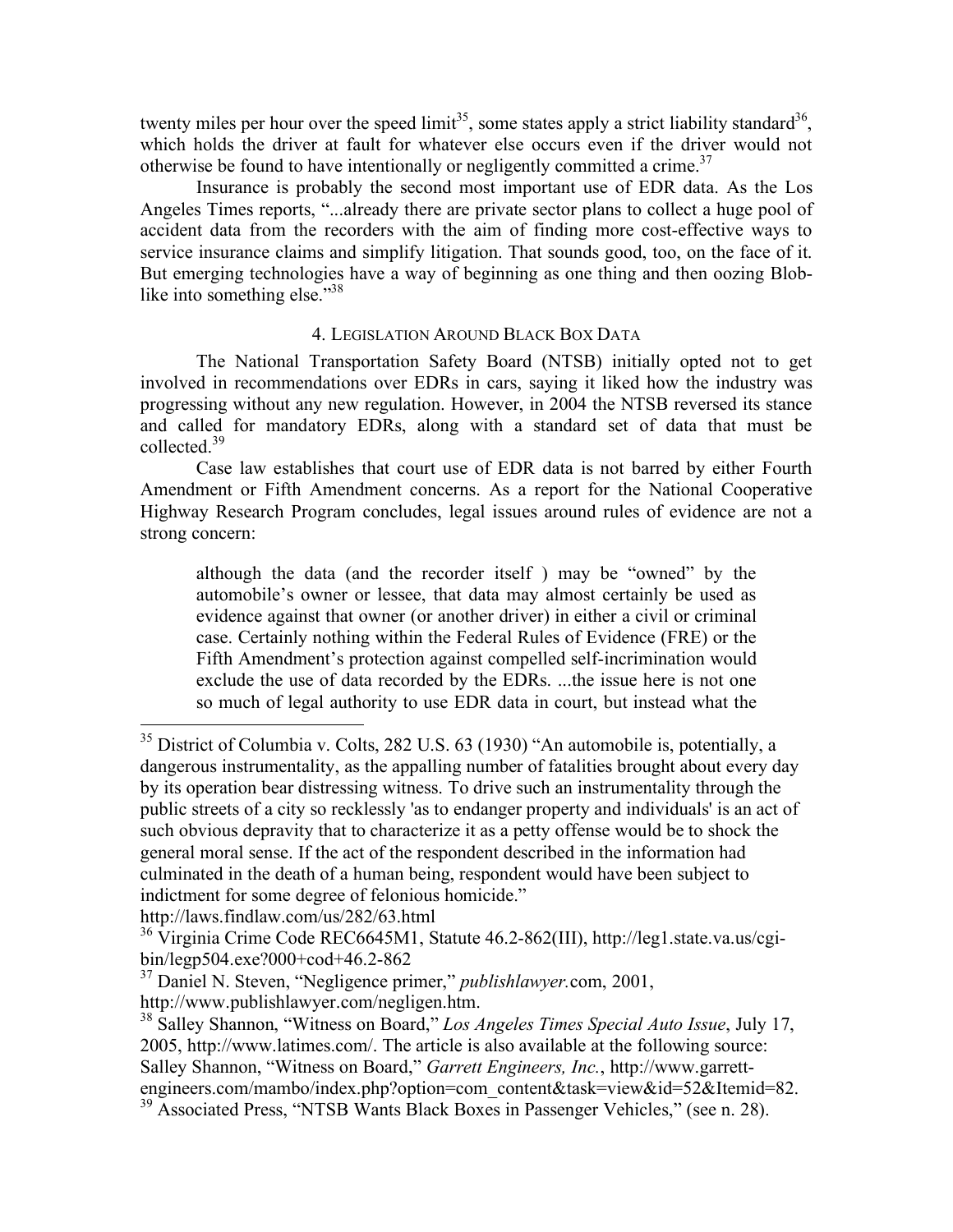twenty miles per hour over the speed  $\text{limit}^{35}$ , some states apply a strict liability standard<sup>36</sup>, which holds the driver at fault for whatever else occurs even if the driver would not otherwise be found to have intentionally or negligently committed a crime.<sup>37</sup>

Insurance is probably the second most important use of EDR data. As the Los Angeles Times reports, "...already there are private sector plans to collect a huge pool of accident data from the recorders with the aim of finding more cost-effective ways to service insurance claims and simplify litigation. That sounds good, too, on the face of it. But emerging technologies have a way of beginning as one thing and then oozing Bloblike into something else."<sup>38</sup>

# 4. LEGISLATION AROUND BLACK BOX DATA

The National Transportation Safety Board (NTSB) initially opted not to get involved in recommendations over EDRs in cars, saying it liked how the industry was progressing without any new regulation. However, in 2004 the NTSB reversed its stance and called for mandatory EDRs, along with a standard set of data that must be collected.<sup>39</sup>

Case law establishes that court use of EDR data is not barred by either Fourth Amendment or Fifth Amendment concerns. As a report for the National Cooperative Highway Research Program concludes, legal issues around rules of evidence are not a strong concern:

although the data (and the recorder itself ) may be "owned" by the automobile's owner or lessee, that data may almost certainly be used as evidence against that owner (or another driver) in either a civil or criminal case. Certainly nothing within the Federal Rules of Evidence (FRE) or the Fifth Amendment's protection against compelled self-incrimination would exclude the use of data recorded by the EDRs. ...the issue here is not one so much of legal authority to use EDR data in court, but instead what the

<sup>&</sup>lt;sup>35</sup> District of Columbia v. Colts, 282 U.S. 63 (1930) "An automobile is, potentially, a dangerous instrumentality, as the appalling number of fatalities brought about every day by its operation bear distressing witness. To drive such an instrumentality through the public streets of a city so recklessly 'as to endanger property and individuals' is an act of such obvious depravity that to characterize it as a petty offense would be to shock the general moral sense. If the act of the respondent described in the information had culminated in the death of a human being, respondent would have been subject to indictment for some degree of felonious homicide."

http://laws.findlaw.com/us/282/63.html

<sup>36</sup> Virginia Crime Code REC6645M1, Statute 46.2-862(III), http://leg1.state.va.us/cgibin/legp504.exe?000+cod+46.2-862

<sup>&</sup>lt;sup>37</sup> Daniel N. Steven, "Negligence primer," *publishlawyer*.com, 2001, http://www.publishlawyer.com/negligen.htm.

<sup>&</sup>lt;sup>38</sup> Salley Shannon, "Witness on Board," *Los Angeles Times Special Auto Issue*, July 17, 2005, http://www.latimes.com/. The article is also available at the following source: Salley Shannon, "Witness on Board," *Garrett Engineers, Inc.*, http://www.garrettengineers.com/mambo/index.php?option=com\_content&task=view&id=52&Itemid=82.<br><sup>39</sup> Associated Press, "NTSB Wants Black Boxes in Passenger Vehicles," (see n. 28).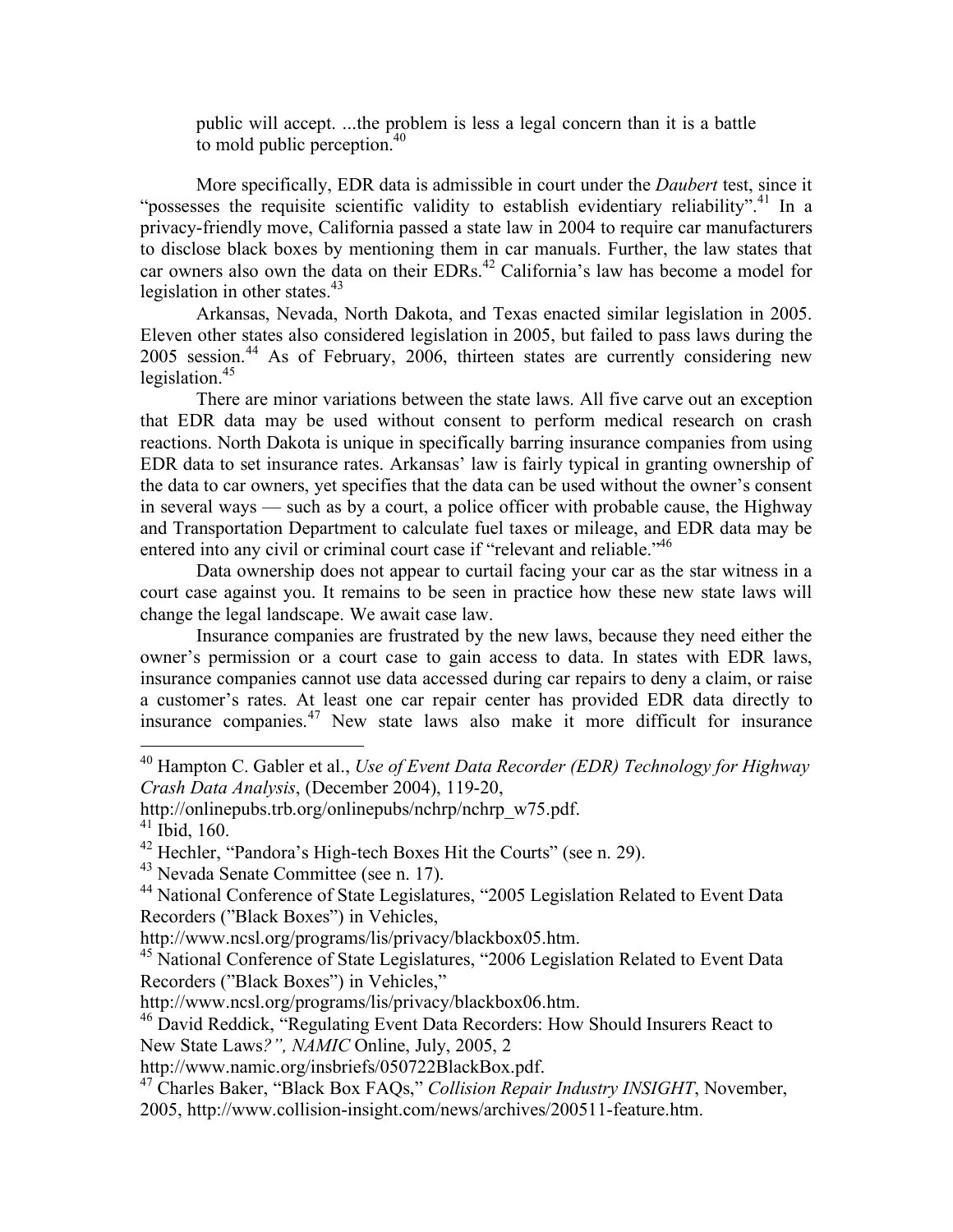public will accept. ...the problem is less a legal concern than it is a battle to mold public perception.<sup>40</sup>

More specifically, EDR data is admissible in court under the *Daubert* test, since it "possesses the requisite scientific validity to establish evidentiary reliability".<sup>41</sup> In a privacy-friendly move, California passed a state law in 2004 to require car manufacturers to disclose black boxes by mentioning them in car manuals. Further, the law states that car owners also own the data on their EDRs. <sup>42</sup> California's law has become a model for legislation in other states.<sup>43</sup>

Arkansas, Nevada, North Dakota, and Texas enacted similar legislation in 2005. Eleven other states also considered legislation in 2005, but failed to pass laws during the 2005 session. <sup>44</sup> As of February, 2006, thirteen states are currently considering new legislation. 45

There are minor variations between the state laws. All five carve out an exception that EDR data may be used without consent to perform medical research on crash reactions. North Dakota is unique in specifically barring insurance companies from using EDR data to set insurance rates. Arkansas' law is fairly typical in granting ownership of the data to car owners, yet specifies that the data can be used without the owner's consent in several ways — such as by a court, a police officer with probable cause, the Highway and Transportation Department to calculate fuel taxes or mileage, and EDR data may be entered into any civil or criminal court case if "relevant and reliable."<sup>46</sup>

Data ownership does not appear to curtail facing your car as the star witness in a court case against you. It remains to be seen in practice how these new state laws will change the legal landscape. We await case law.

Insurance companies are frustrated by the new laws, because they need either the owner's permission or a court case to gain access to data. In states with EDR laws, insurance companies cannot use data accessed during car repairs to deny a claim, or raise a customer's rates. At least one car repair center has provided EDR data directly to insurance companies. <sup>47</sup> New state laws also make it more difficult for insurance

 <sup>40</sup> Hampton C. Gabler et al., *Use of Event Data Recorder (EDR) Technology for Highway Crash Data Analysis*, (December 2004), 119-20,

http://onlinepubs.trb.org/onlinepubs/nchrp/nchrp\_w75.pdf.<br><sup>41</sup> Ibid, 160.<br><sup>42</sup> Hechler, "Pandora's High-tech Boxes Hit the Courts" (see n. 29).

<sup>&</sup>lt;sup>43</sup> Nevada Senate Committee (see n. 17).  $44$  National Conference of State Legislatures, "2005 Legislation Related to Event Data Recorders ("Black Boxes") in Vehicles,<br>http://www.ncsl.org/programs/lis/privacy/blackbox05.htm.

<sup>&</sup>lt;sup>45</sup> National Conference of State Legislatures, "2006 Legislation Related to Event Data Recorders ("Black Boxes") in Vehicles,"<br>http://www.ncsl.org/programs/lis/privacy/blackbox06.htm.

 $46$  David Reddick, "Regulating Event Data Recorders: How Should Insurers React to New State Laws*?", NAMIC* Online, July, 2005, 2

http://www.namic.org/insbriefs/050722BlackBox.pdf. <sup>47</sup> Charles Baker, "Black Box FAQs," *Collision Repair Industry INSIGHT*, November, 2005, http://www.collision-insight.com/news/archives/200511-feature.htm.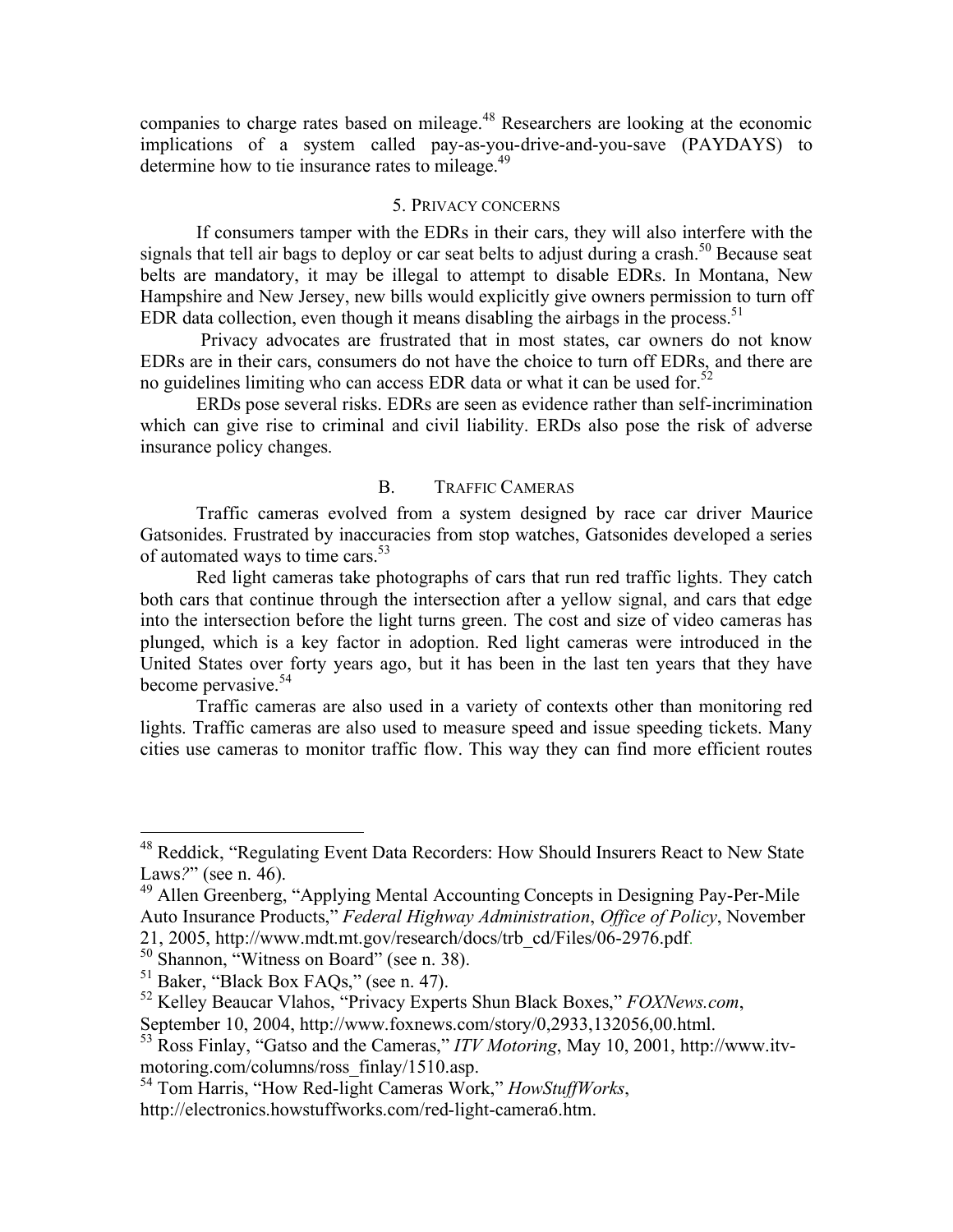companies to charge rates based on mileage. <sup>48</sup> Researchers are looking at the economic implications of a system called pay-as-you-drive-and-you-save (PAYDAYS) to determine how to tie insurance rates to mileage.<sup>49</sup>

#### 5. PRIVACY CONCERNS

If consumers tamper with the EDRs in their cars, they will also interfere with the signals that tell air bags to deploy or car seat belts to adjust during a crash.<sup>50</sup> Because seat belts are mandatory, it may be illegal to attempt to disable EDRs. In Montana, New Hampshire and New Jersey, new bills would explicitly give owners permission to turn off EDR data collection, even though it means disabling the airbags in the process. 51

Privacy advocates are frustrated that in most states, car owners do not know EDRs are in their cars, consumers do not have the choice to turn off EDRs, and there are no guidelines limiting who can access EDR data or what it can be used for.<sup>52</sup>

ERDs pose several risks. EDRs are seen as evidence rather than self-incrimination which can give rise to criminal and civil liability. ERDs also pose the risk of adverse insurance policy changes.

## B. TRAFFIC CAMERAS

Traffic cameras evolved from a system designed by race car driver Maurice Gatsonides. Frustrated by inaccuracies from stop watches, Gatsonides developed a series of automated ways to time cars.<sup>53</sup>

Red light cameras take photographs of cars that run red traffic lights. They catch both cars that continue through the intersection after a yellow signal, and cars that edge into the intersection before the light turns green. The cost and size of video cameras has plunged, which is a key factor in adoption. Red light cameras were introduced in the United States over forty years ago, but it has been in the last ten years that they have become pervasive. 54

Traffic cameras are also used in a variety of contexts other than monitoring red lights. Traffic cameras are also used to measure speed and issue speeding tickets. Many cities use cameras to monitor traffic flow. This way they can find more efficient routes

 <sup>48</sup> Reddick, "Regulating Event Data Recorders: How Should Insurers React to New State Laws?" (see n. 46).<br><sup>49</sup> Allen Greenberg, "Applying Mental Accounting Concepts in Designing Pay-Per-Mile

Auto Insurance Products," *Federal Highway Administration*, *Office of Policy*, November

<sup>21, 2005,</sup> http://www.mdt.mt.gov/research/docs/trb\_cd/Files/06-2976.pdf.<br><sup>50</sup> Shannon, "Witness on Board" (see n. 38).<br><sup>51</sup> Baker, "Black Box FAQs," (see n. 47).<br><sup>52</sup> Kelley Beaucar Vlahos, "Privacy Experts Shun Black Boxe

sapplements. 2004, and the Cameras," *ITV Motoring*, May 10, 2001, http://www.itv-<br>motoring.com/columns/ross finlay/1510.asp.

<sup>&</sup>lt;sup>54</sup> Tom Harris, "How Red-light Cameras Work," *HowStuffWorks*,

http://electronics.howstuffworks.com/red-light-camera6.htm.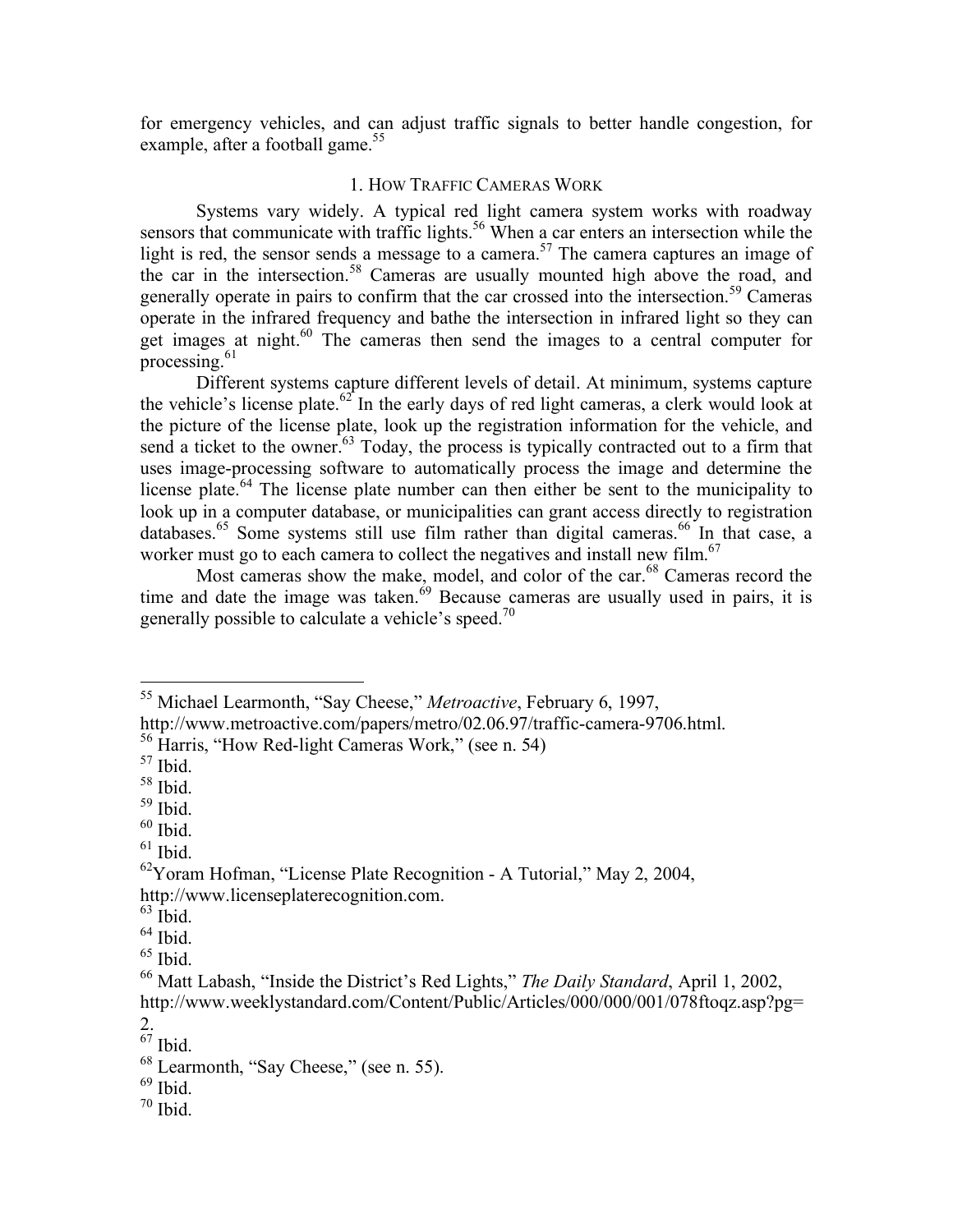for emergency vehicles, and can adjust traffic signals to better handle congestion, for example, after a football game.<sup>55</sup>

# 1. HOW TRAFFIC CAMERAS WORK

Systems vary widely. A typical red light camera system works with roadway sensors that communicate with traffic lights.<sup>56</sup> When a car enters an intersection while the light is red, the sensor sends a message to a camera.<sup>57</sup> The camera captures an image of the car in the intersection.<sup>58</sup> Cameras are usually mounted high above the road, and generally operate in pairs to confirm that the car crossed into the intersection.<sup>59</sup> Cameras operate in the infrared frequency and bathe the intersection in infrared light so they can get images at night.<sup>60</sup> The cameras then send the images to a central computer for processing. $61$ 

Different systems capture different levels of detail. At minimum, systems capture the vehicle's license plate.<sup>62</sup> In the early days of red light cameras, a clerk would look at the picture of the license plate, look up the registration information for the vehicle, and send a ticket to the owner.<sup>63</sup> Today, the process is typically contracted out to a firm that uses image-processing software to automatically process the image and determine the license plate.<sup>64</sup> The license plate number can then either be sent to the municipality to look up in a computer database, or municipalities can grant access directly to registration databases.<sup>65</sup> Some systems still use film rather than digital cameras.<sup>66</sup> In that case, a worker must go to each camera to collect the negatives and install new film.<sup>67</sup>

Most cameras show the make, model, and color of the car.<sup>68</sup> Cameras record the time and date the image was taken.<sup>69</sup> Because cameras are usually used in pairs, it is generally possible to calculate a vehicle's speed.<sup>70</sup>

- 
- 

 <sup>55</sup> Michael Learmonth, "Say Cheese," *Metroactive*, February 6, 1997,

http://www.metroactive.com/papers/metro/02.06.97/traffic-camera-9706.html.<br><sup>56</sup> Harris, "How Red-light Cameras Work," (see n. 54)<br><sup>57</sup> Ibid.

 $\begin{bmatrix} 58 \\ 59 \\ 1 \end{bmatrix}$  Ibid.<br>  $\begin{bmatrix} 60 \\ 61 \\ 1 \end{bmatrix}$  Ibid.

 $^{62}$ Yoram Hofman, "License Plate Recognition - A Tutorial," May 2, 2004, http://www.licenseplaterecognition.com.<br>
<sup>63</sup> Ibid.<br>
<sup>65</sup> Ibid.<br>
<sup>66</sup> Matt Labash, "Inside the District's Red Lights," *The Daily Standard*, April 1, 2002,

http://www.weeklystandard.com/Content/Public/Articles/000/000/001/078ftoqz.asp?pg=

 $rac{2}{67}$  Ibid.

<sup>&</sup>lt;sup>68</sup> Learmonth, "Say Cheese," (see n. 55).<br><sup>69</sup> Ibid. <sup>70</sup> Ibid.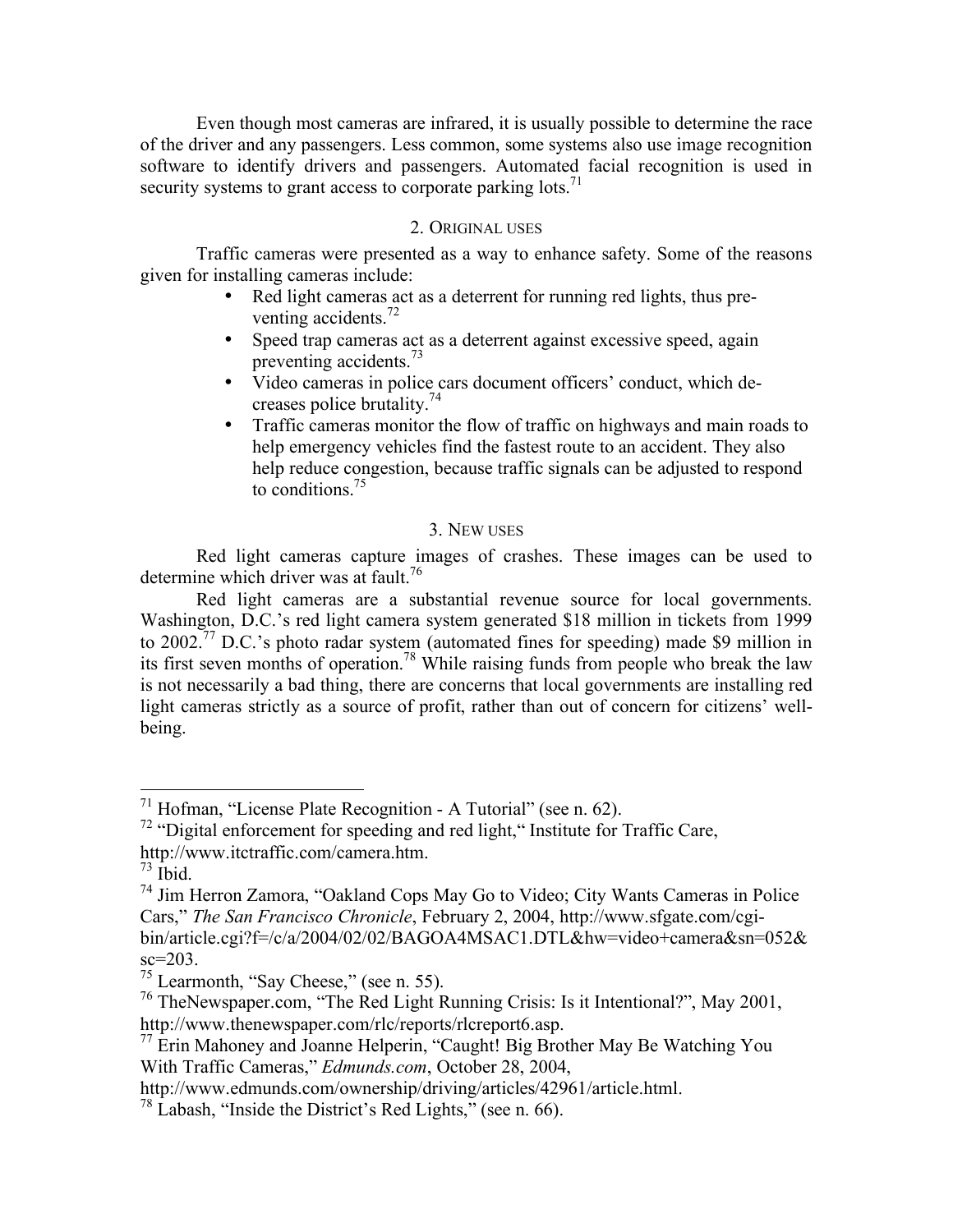Even though most cameras are infrared, it is usually possible to determine the race of the driver and any passengers. Less common, some systems also use image recognition software to identify drivers and passengers. Automated facial recognition is used in security systems to grant access to corporate parking lots.<sup>71</sup>

### 2. ORIGINAL USES

Traffic cameras were presented as a way to enhance safety. Some of the reasons given for installing cameras include:

- Red light cameras act as a deterrent for running red lights, thus preventing accidents.<sup>72</sup>
- Speed trap cameras act as a deterrent against excessive speed, again preventing accidents.<sup>73</sup>
- Video cameras in police cars document officers' conduct, which decreases police brutality. 74
- Traffic cameras monitor the flow of traffic on highways and main roads to help emergency vehicles find the fastest route to an accident. They also help reduce congestion, because traffic signals can be adjusted to respond to conditions. 75

### 3. NEW USES

Red light cameras capture images of crashes. These images can be used to determine which driver was at fault.<sup>76</sup>

Red light cameras are a substantial revenue source for local governments. Washington, D.C.'s red light camera system generated \$18 million in tickets from 1999 to 2002.<sup>77</sup> D.C.'s photo radar system (automated fines for speeding) made \$9 million in its first seven months of operation.<sup>78</sup> While raising funds from people who break the law is not necessarily a bad thing, there are concerns that local governments are installing red light cameras strictly as a source of profit, rather than out of concern for citizens' wellbeing.

<sup>&</sup>lt;sup>71</sup> Hofman, "License Plate Recognition - A Tutorial" (see n. 62).<br><sup>72</sup> "Digital enforcement for speeding and red light," Institute for Traffic Care,

http://www.itctraffic.com/camera.htm.<br><sup>73</sup> Ibid. <sup>74</sup> Jim Herron Zamora, "Oakland Cops May Go to Video; City Wants Cameras in Police Cars," *The San Francisco Chronicle*, February 2, 2004, http://www.sfgate.com/cgibin/article.cgi?f=/c/a/2004/02/02/BAGOA4MSAC1.DTL&hw=video+camera&sn=052& sc=203.<br><sup>75</sup> Learmonth, "Say Cheese," (see n. 55).<br><sup>76</sup> TheNewspaper.com, "The Red Light Running Crisis: Is it Intentional?", May 2001,

http://www.thenewspaper.com/rlc/reports/rlcreport6.asp. <sup>77</sup> Erin Mahoney and Joanne Helperin, "Caught! Big Brother May Be Watching You With Traffic Cameras," *Edmunds.com*, October 28, 2004,

http://www.edmunds.com/ownership/driving/articles/42961/article.html. <sup>78</sup> Labash, "Inside the District's Red Lights," (see n. 66).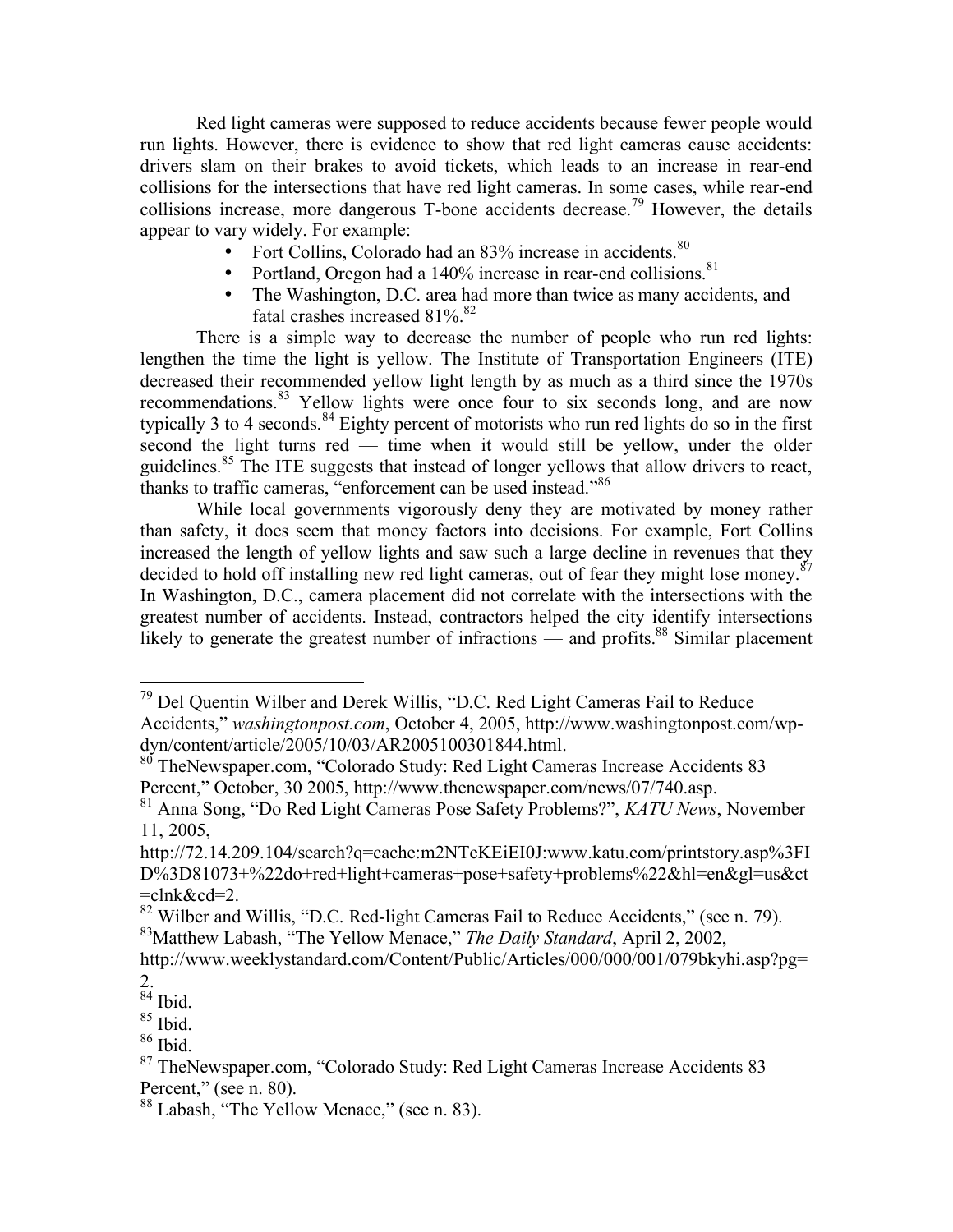Red light cameras were supposed to reduce accidents because fewer people would run lights. However, there is evidence to show that red light cameras cause accidents: drivers slam on their brakes to avoid tickets, which leads to an increase in rear-end collisions for the intersections that have red light cameras. In some cases, while rear-end collisions increase, more dangerous T-bone accidents decrease.<sup>79</sup> However, the details appear to vary widely. For example:

- Fort Collins, Colorado had an 83% increase in accidents.<sup>80</sup>
- Portland, Oregon had a 140% increase in rear-end collisions.<sup>81</sup>
- The Washington, D.C. area had more than twice as many accidents, and fatal crashes increased 81%.<sup>82</sup>

There is a simple way to decrease the number of people who run red lights: lengthen the time the light is yellow. The Institute of Transportation Engineers (ITE) decreased their recommended yellow light length by as much as a third since the 1970s recommendations.<sup>83</sup> Yellow lights were once four to six seconds long, and are now typically 3 to 4 seconds.<sup>84</sup> Eighty percent of motorists who run red lights do so in the first second the light turns red — time when it would still be yellow, under the older guidelines.<sup>85</sup> The ITE suggests that instead of longer yellows that allow drivers to react, thanks to traffic cameras, "enforcement can be used instead."<sup>86</sup>

While local governments vigorously deny they are motivated by money rather than safety, it does seem that money factors into decisions. For example, Fort Collins increased the length of yellow lights and saw such a large decline in revenues that they decided to hold off installing new red light cameras, out of fear they might lose money.<sup>87</sup> In Washington, D.C., camera placement did not correlate with the intersections with the greatest number of accidents. Instead, contractors helped the city identify intersections likely to generate the greatest number of infractions — and profits.<sup>88</sup> Similar placement

 <sup>79</sup> Del Quentin Wilber and Derek Willis, "D.C. Red Light Cameras Fail to Reduce Accidents," *washingtonpost.com*, October 4, 2005, http://www.washingtonpost.com/wp-

<sup>80</sup> TheNewspaper.com, "Colorado Study: Red Light Cameras Increase Accidents 83 Percent," October, <sup>30</sup> 2005, http://www.thenewspaper.com/news/07/740.asp. <sup>81</sup> Anna Song, "Do Red Light Cameras Pose Safety Problems?", *KATU News*, November

<sup>11,</sup> 2005,

http://72.14.209.104/search?q=cache:m2NTeKEiEI0J:www.katu.com/printstory.asp%3FI D%3D81073+%22do+red+light+cameras+pose+safety+problems%22&hl=en&gl=us&ct

<sup>=</sup>clnk&cd=2.<br><sup>82</sup> Wilber and Willis, "D.C. Red-light Cameras Fail to Reduce Accidents," (see n. 79). Matthew Labash, "The Yellow Menace," *The Daily Standard*, April 2, 2002,

http://www.weeklystandard.com/Content/Public/Articles/000/000/001/079bkyhi.asp?pg=  $^{2.}_{84}$  Ibid.

<sup>&</sup>lt;sup>85</sup> Ibid.<br><sup>86</sup> Ibid.<br><sup>87</sup> TheNewspaper.com, "Colorado Study: Red Light Cameras Increase Accidents 83 Percent," (see n. 80).<br><sup>88</sup> Labash, "The Yellow Menace," (see n. 83).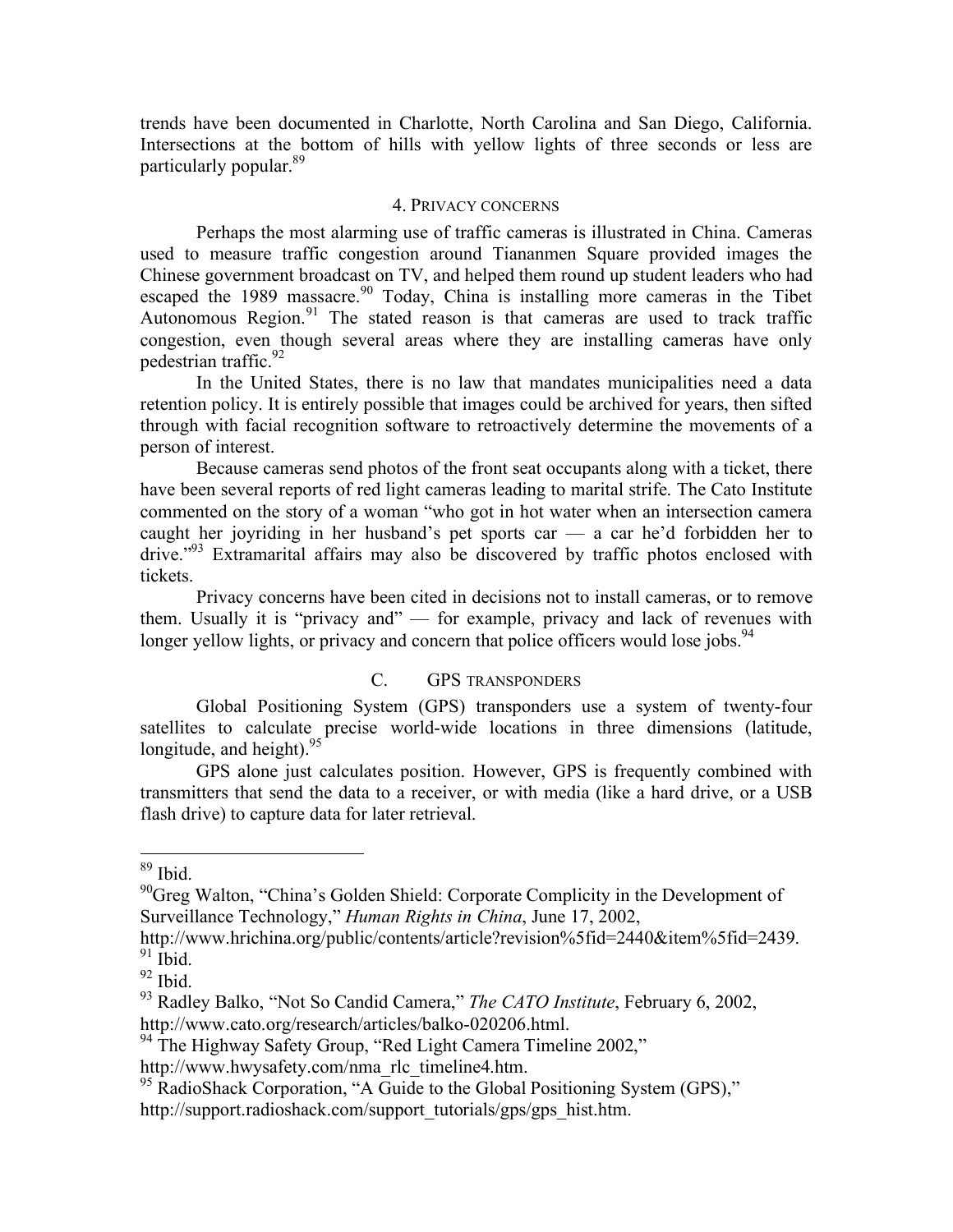trends have been documented in Charlotte, North Carolina and San Diego, California. Intersections at the bottom of hills with yellow lights of three seconds or less are particularly popular. 89

#### 4. PRIVACY CONCERNS

Perhaps the most alarming use of traffic cameras is illustrated in China. Cameras used to measure traffic congestion around Tiananmen Square provided images the Chinese government broadcast on TV, and helped them round up student leaders who had escaped the 1989 massacre.<sup>90</sup> Today, China is installing more cameras in the Tibet Autonomous Region.<sup>91</sup> The stated reason is that cameras are used to track traffic congestion, even though several areas where they are installing cameras have only pedestrian traffic. 92

In the United States, there is no law that mandates municipalities need a data retention policy. It is entirely possible that images could be archived for years, then sifted through with facial recognition software to retroactively determine the movements of a person of interest.

Because cameras send photos of the front seat occupants along with a ticket, there have been several reports of red light cameras leading to marital strife. The Cato Institute commented on the story of a woman "who got in hot water when an intersection camera caught her joyriding in her husband's pet sports car — a car he'd forbidden her to drive."<sup>93</sup> Extramarital affairs may also be discovered by traffic photos enclosed with tickets.

Privacy concerns have been cited in decisions not to install cameras, or to remove them. Usually it is "privacy and" — for example, privacy and lack of revenues with longer yellow lights, or privacy and concern that police officers would lose jobs.<sup>94</sup>

# C. GPS TRANSPONDERS

Global Positioning System (GPS) transponders use a system of twenty-four satellites to calculate precise world-wide locations in three dimensions (latitude, longitude, and height).<sup>95</sup>

GPS alone just calculates position. However, GPS is frequently combined with transmitters that send the data to a receiver, or with media (like a hard drive, or a USB flash drive) to capture data for later retrieval.

http://www.cato.org/research/articles/balko-020206.html. <sup>94</sup> The Highway Safety Group, "Red Light Camera Timeline 2002,"

 $89$  Ibid.

<sup>&</sup>lt;sup>90</sup>Greg Walton, "China's Golden Shield: Corporate Complicity in the Development of Surveillance Technology," *Human Rights in China*, June 17, 2002,

http://www.hrichina.org/public/contents/article?revision%5fid=2440&item%5fid=2439.<br><sup>91</sup> Ibid.<br><sup>92</sup> Ibid. 93 Radley Balko, "Not So Candid Camera," *The CATO Institute*, February 6, 2002,

http://www.hwysafety.com/nma\_rlc\_timeline4.htm.<br><sup>95</sup> RadioShack Corporation, "A Guide to the Global Positioning System (GPS)," http://support.radioshack.com/support\_tutorials/gps/gps\_hist.htm.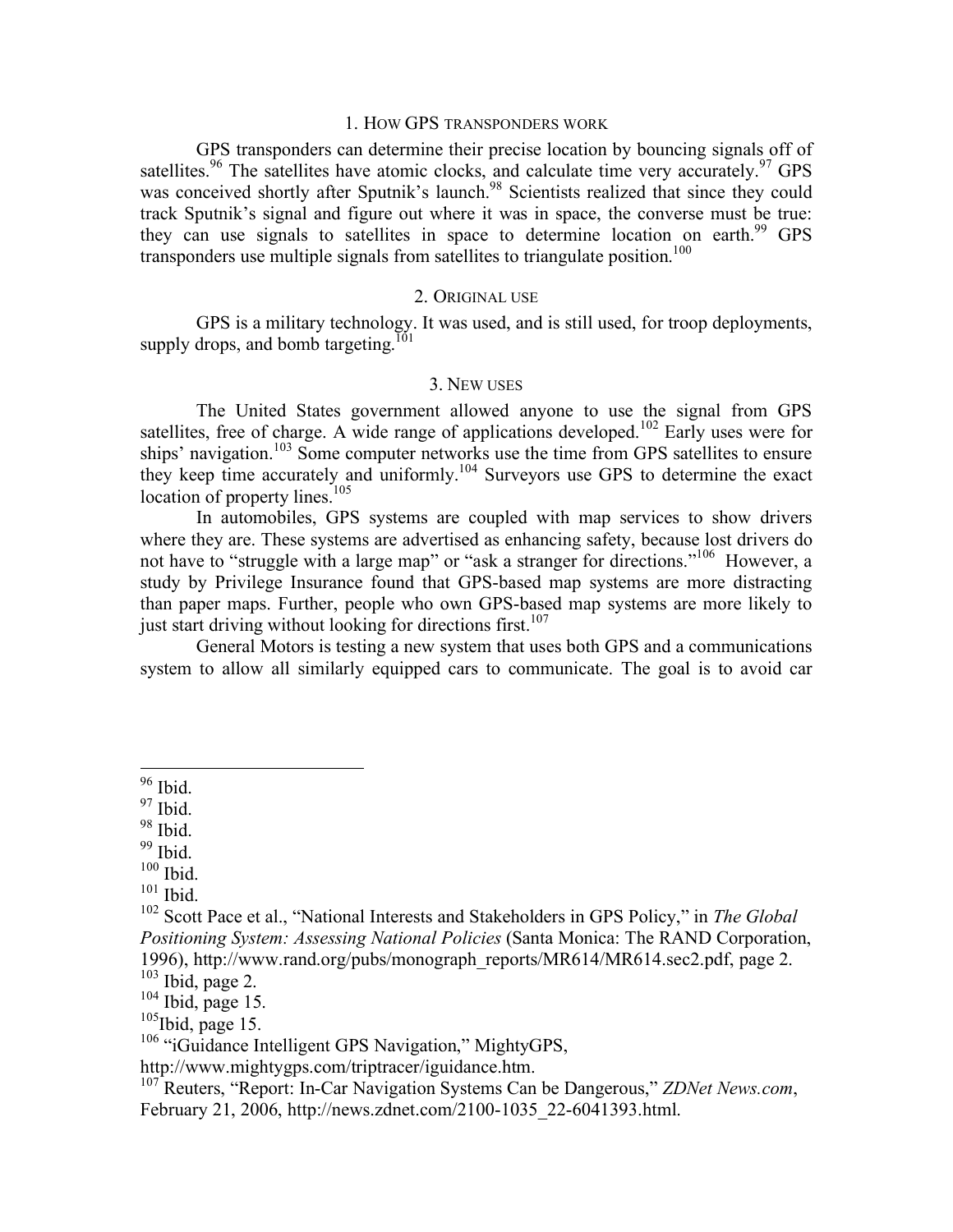#### 1. HOW GPS TRANSPONDERS WORK

GPS transponders can determine their precise location by bouncing signals off of satellites.<sup>96</sup> The satellites have atomic clocks, and calculate time very accurately.<sup>97</sup> GPS was conceived shortly after Sputnik's launch.<sup>98</sup> Scientists realized that since they could track Sputnik's signal and figure out where it was in space, the converse must be true: they can use signals to satellites in space to determine location on earth.<sup>99</sup> GPS transponders use multiple signals from satellites to triangulate position. 100

#### 2. ORIGINAL USE

GPS is a military technology. It was used, and is still used, for troop deployments, supply drops, and bomb targeting.<sup> $101$ </sup>

#### 3. NEW USES

The United States government allowed anyone to use the signal from GPS satellites, free of charge. A wide range of applications developed.<sup>102</sup> Early uses were for ships' navigation.<sup>103</sup> Some computer networks use the time from GPS satellites to ensure they keep time accurately and uniformly. <sup>104</sup> Surveyors use GPS to determine the exact location of property lines.<sup>105</sup>

In automobiles, GPS systems are coupled with map services to show drivers where they are. These systems are advertised as enhancing safety, because lost drivers do not have to "struggle with a large map" or "ask a stranger for directions."<sup>106</sup> However, a study by Privilege Insurance found that GPS-based map systems are more distracting than paper maps. Further, people who own GPS-based map systems are more likely to just start driving without looking for directions first.<sup>107</sup>

General Motors is testing a new system that uses both GPS and a communications system to allow all similarly equipped cars to communicate. The goal is to avoid car

 $\frac{96}{7}$  Ibid.<br>  $\frac{98}{9}$  Ibid.<br>  $\frac{99}{100}$  Ibid.

<sup>&</sup>lt;sup>101</sup> Ibid. <sup>102</sup> Scott Pace et al., "National Interests and Stakeholders in GPS Policy," in *The Global Positioning System: Assessing National Policies* (Santa Monica: The RAND Corporation, 1996), http://www.rand.org/pubs/monograph\_reports/MR614/MR614.sec2.pdf, page 2. <sup>103</sup> Ibid, page 2. <sup>104</sup> Ibid, page 15.

 $105$ Ibid, page 15.

<sup>&</sup>lt;sup>106</sup> "iGuidance Intelligent GPS Navigation," MightyGPS,

http://www.mightygps.com/triptracer/iguidance.htm. <sup>107</sup> Reuters, "Report: In-Car Navigation Systems Can be Dangerous," *ZDNet News.com*, February 21, 2006, http://news.zdnet.com/2100-1035\_22-6041393.html.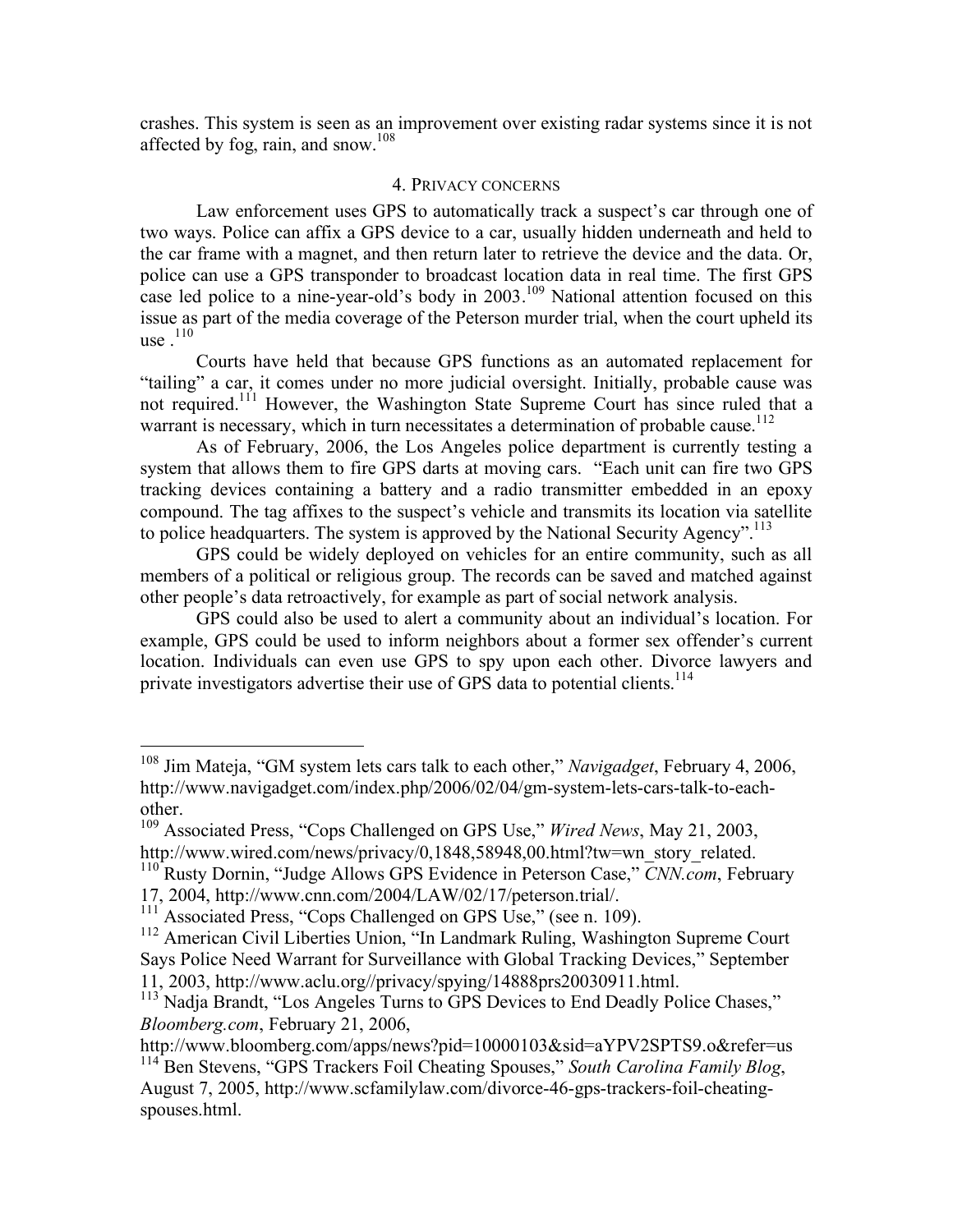crashes. This system is seen as an improvement over existing radar systems since it is not affected by fog, rain, and snow.<sup>108</sup>

#### 4. PRIVACY CONCERNS

Law enforcement uses GPS to automatically track a suspect's car through one of two ways. Police can affix a GPS device to a car, usually hidden underneath and held to the car frame with a magnet, and then return later to retrieve the device and the data. Or, police can use a GPS transponder to broadcast location data in real time. The first GPS case led police to a nine-year-old's body in 2003.<sup>109</sup> National attention focused on this issue as part of the media coverage of the Peterson murder trial, when the court upheld its use  $.110$ 

Courts have held that because GPS functions as an automated replacement for "tailing" a car, it comes under no more judicial oversight. Initially, probable cause was not required.<sup>111</sup> However, the Washington State Supreme Court has since ruled that a warrant is necessary, which in turn necessitates a determination of probable cause.<sup>112</sup>

As of February, 2006, the Los Angeles police department is currently testing a system that allows them to fire GPS darts at moving cars. "Each unit can fire two GPS tracking devices containing a battery and a radio transmitter embedded in an epoxy compound. The tag affixes to the suspect's vehicle and transmits its location via satellite to police headquarters. The system is approved by the National Security Agency".<sup>113</sup>

GPS could be widely deployed on vehicles for an entire community, such as all members of a political or religious group. The records can be saved and matched against other people's data retroactively, for example as part of social network analysis.

GPS could also be used to alert a community about an individual's location. For example, GPS could be used to inform neighbors about a former sex offender's current location. Individuals can even use GPS to spy upon each other. Divorce lawyers and private investigators advertise their use of GPS data to potential clients.<sup>114</sup>

 <sup>108</sup> Jim Mateja, "GM system lets cars talk to each other," *Navigadget*, February 4, 2006, http://www.navigadget.com/index.php/2006/02/04/gm-system-lets-cars-talk-to-eachother. <sup>109</sup> Associated Press, "Cops Challenged on GPS Use," *Wired News*, May 21, 2003,

http://www.wired.com/news/privacy/0,1848,58948,00.html?tw=wn\_story\_related. <sup>110</sup> Rusty Dornin, "Judge Allows GPS Evidence in Peterson Case," *CNN.com*, February

<sup>17, 2004,</sup> http://www.cnn.com/2004/LAW/02/17/peterson.trial/.<br><sup>111</sup> Associated Press, "Cops Challenged on GPS Use," (see n. 109).<br><sup>112</sup> American Civil Liberties Union, "In Landmark Ruling, Washington Supreme Court Says Police Need Warrant for Surveillance with Global Tracking Devices," September 11, 2003, http://www.aclu.org//privacy/spying/14888prs20030911.html. <sup>113</sup> Nadja Brandt, "Los Angeles Turns to GPS Devices to End Deadly Police Chases,"

*Bloomberg.com*, February 21, 2006,

http://www.bloomberg.com/apps/news?pid=10000103&sid=aYPV2SPTS9.o&refer=us

<sup>114</sup> Ben Stevens, "GPS Trackers Foil Cheating Spouses," *South Carolina Family Blog*, August 7, 2005, http://www.scfamilylaw.com/divorce-46-gps-trackers-foil-cheatingspouses.html.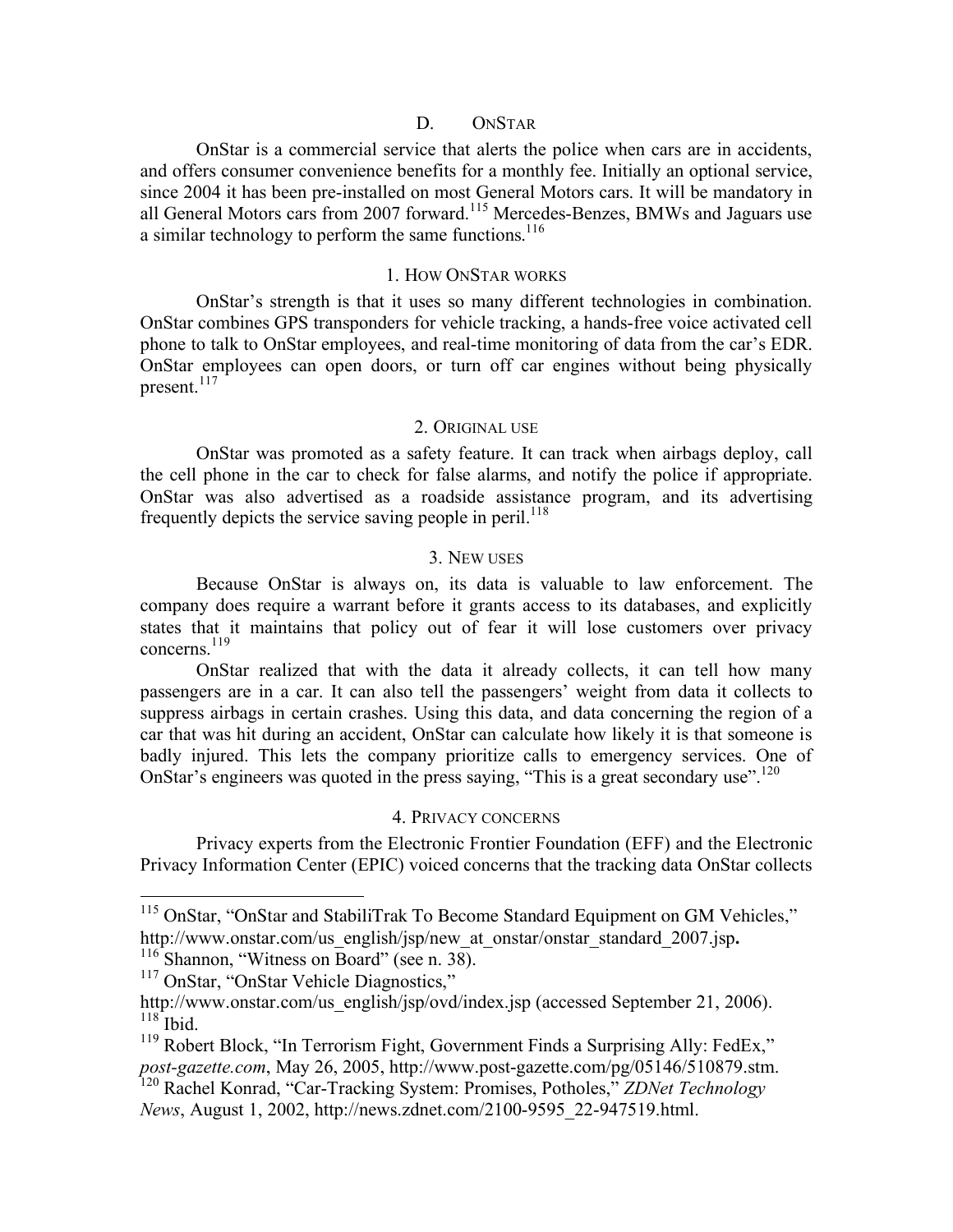### D. ONSTAR

OnStar is a commercial service that alerts the police when cars are in accidents, and offers consumer convenience benefits for a monthly fee. Initially an optional service, since 2004 it has been pre-installed on most General Motors cars. It will be mandatory in all General Motors cars from 2007 forward.<sup>115</sup> Mercedes-Benzes, BMWs and Jaguars use a similar technology to perform the same functions. $^{116}$ 

### 1. HOW ONSTAR WORKS

OnStar's strength is that it uses so many different technologies in combination. OnStar combines GPS transponders for vehicle tracking, a hands-free voice activated cell phone to talk to OnStar employees, and real-time monitoring of data from the car's EDR. OnStar employees can open doors, or turn off car engines without being physically present. 117

### 2. ORIGINAL USE

OnStar was promoted as a safety feature. It can track when airbags deploy, call the cell phone in the car to check for false alarms, and notify the police if appropriate. OnStar was also advertised as a roadside assistance program, and its advertising frequently depicts the service saving people in peril.<sup>118</sup>

### 3. NEW USES

Because OnStar is always on, its data is valuable to law enforcement. The company does require a warrant before it grants access to its databases, and explicitly states that it maintains that policy out of fear it will lose customers over privacy concerns. 119

OnStar realized that with the data it already collects, it can tell how many passengers are in a car. It can also tell the passengers' weight from data it collects to suppress airbags in certain crashes. Using this data, and data concerning the region of a car that was hit during an accident, OnStar can calculate how likely it is that someone is badly injured. This lets the company prioritize calls to emergency services. One of OnStar's engineers was quoted in the press saying, "This is a great secondary use".<sup>120</sup>

### 4. PRIVACY CONCERNS

Privacy experts from the Electronic Frontier Foundation (EFF) and the Electronic Privacy Information Center (EPIC) voiced concerns that the tracking data OnStar collects

<sup>&</sup>lt;sup>115</sup> OnStar, "OnStar and StabiliTrak To Become Standard Equipment on GM Vehicles," http://www.onstar.com/us\_english/jsp/new\_at\_onstar/onstar\_standard\_2007.jsp.<br><sup>116</sup> Shannon, "Witness on Board" (see n. 38).<br><sup>117</sup> OnStar, "OnStar Vehicle Diagnostics,"

http://www.onstar.com/us\_english/jsp/ovd/index.jsp (accessed September 21, 2006). <sup>118</sup> Ibid.

<sup>&</sup>lt;sup>119</sup> Robert Block, "In Terrorism Fight, Government Finds a Surprising Ally: FedEx," *post-gazette.com*, May 26, 2005, http://www.post-gazette.com/pg/05146/510879.stm. <sup>120</sup> Rachel Konrad, "Car-Tracking System: Promises, Potholes," *ZDNet Technology*

*News*, August 1, 2002, http://news.zdnet.com/2100-9595\_22-947519.html.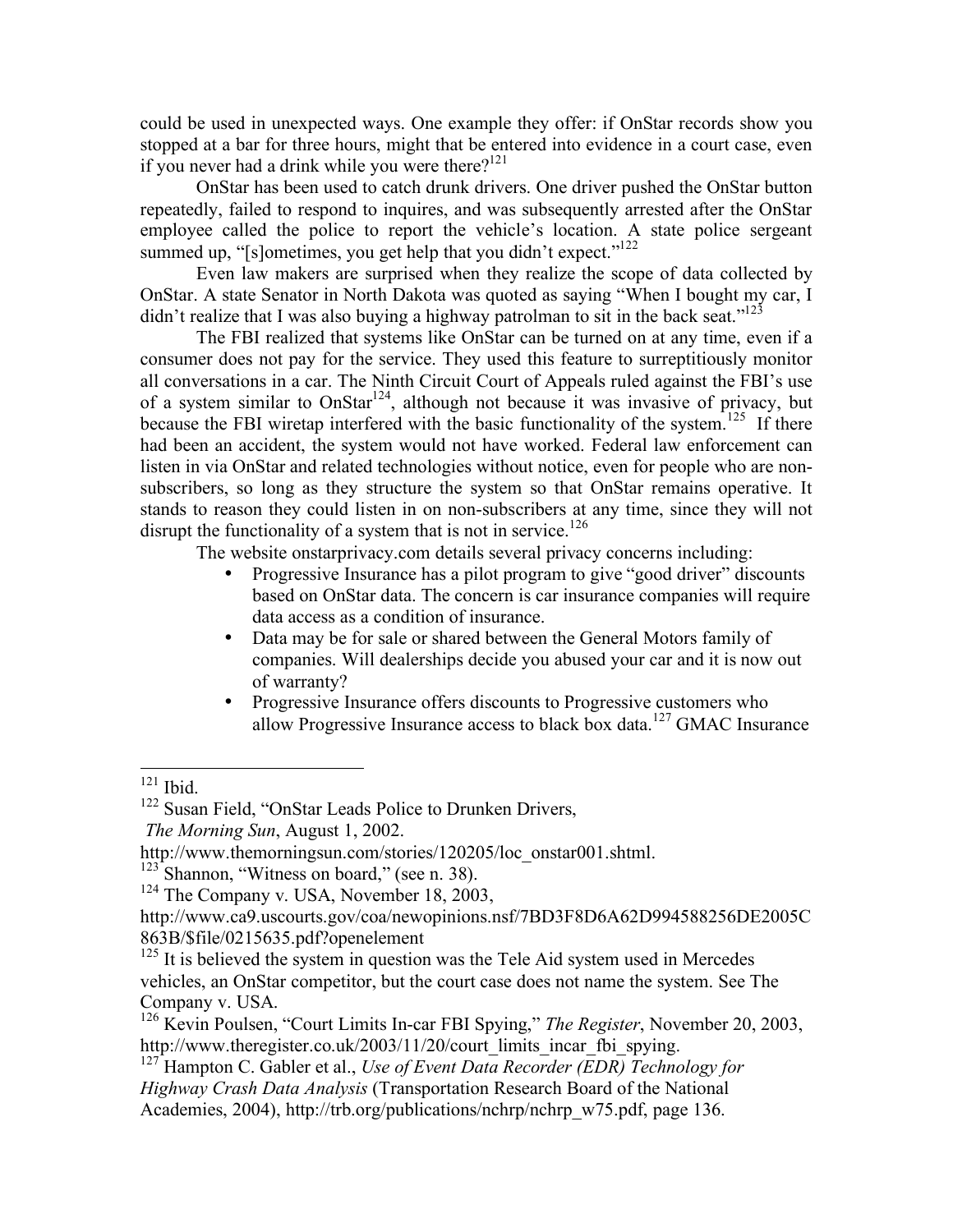could be used in unexpected ways. One example they offer: if OnStar records show you stopped at a bar for three hours, might that be entered into evidence in a court case, even if you never had a drink while you were there?<sup>121</sup>

OnStar has been used to catch drunk drivers. One driver pushed the OnStar button repeatedly, failed to respond to inquires, and was subsequently arrested after the OnStar employee called the police to report the vehicle's location. A state police sergeant summed up, "[s]ometimes, you get help that you didn't expect."<sup>122</sup>

Even law makers are surprised when they realize the scope of data collected by OnStar. A state Senator in North Dakota was quoted as saying "When I bought my car, I didn't realize that I was also buying a highway patrolman to sit in the back seat." $123$ 

The FBI realized that systems like OnStar can be turned on at any time, even if a consumer does not pay for the service. They used this feature to surreptitiously monitor all conversations in a car. The Ninth Circuit Court of Appeals ruled against the FBI's use of a system similar to OnStar<sup>124</sup>, although not because it was invasive of privacy, but because the FBI wiretap interfered with the basic functionality of the system.<sup>125</sup> If there had been an accident, the system would not have worked. Federal law enforcement can listen in via OnStar and related technologies without notice, even for people who are nonsubscribers, so long as they structure the system so that OnStar remains operative. It stands to reason they could listen in on non-subscribers at any time, since they will not disrupt the functionality of a system that is not in service.<sup>126</sup>

The website onstarprivacy.com details several privacy concerns including:

- Progressive Insurance has a pilot program to give "good driver" discounts based on OnStar data. The concern is car insurance companies will require data access as a condition of insurance.
- Data may be for sale or shared between the General Motors family of companies. Will dealerships decide you abused your car and it is now out of warranty?
- Progressive Insurance offers discounts to Progressive customers who allow Progressive Insurance access to black box data.<sup>127</sup> GMAC Insurance

<sup>&</sup>lt;sup>121</sup> Ibid.<br><sup>122</sup> Susan Field, "OnStar Leads Police to Drunken Drivers,

*The Morning Sun*, August 1, 2002.

http://www.themorningsun.com/stories/120205/loc\_onstar001.shtml. <sup>123</sup> Shannon, "Witness on board," (see n. 38). <sup>124</sup> The Company v. USA, November 18, 2003,

http://www.ca9.uscourts.gov/coa/newopinions.nsf/7BD3F8D6A62D994588256DE2005C 863B/\$file/0215635.pdf?openelement

 $125$  It is believed the system in question was the Tele Aid system used in Mercedes vehicles, an OnStar competitor, but the court case does not name the system. See The

Company v. USA.<br><sup>126</sup> Kevin Poulsen, "Court Limits In-car FBI Spying," *The Register*, November 20, 2003, http://www.theregister.co.uk/2003/11/20/court limits incar fbi spying.

<sup>&</sup>lt;sup>127</sup> Hampton C. Gabler et al., *Use of Event Data Recorder (EDR) Technology for Highway Crash Data Analysis* (Transportation Research Board of the National Academies, 2004), http://trb.org/publications/nchrp/nchrp\_w75.pdf, page 136.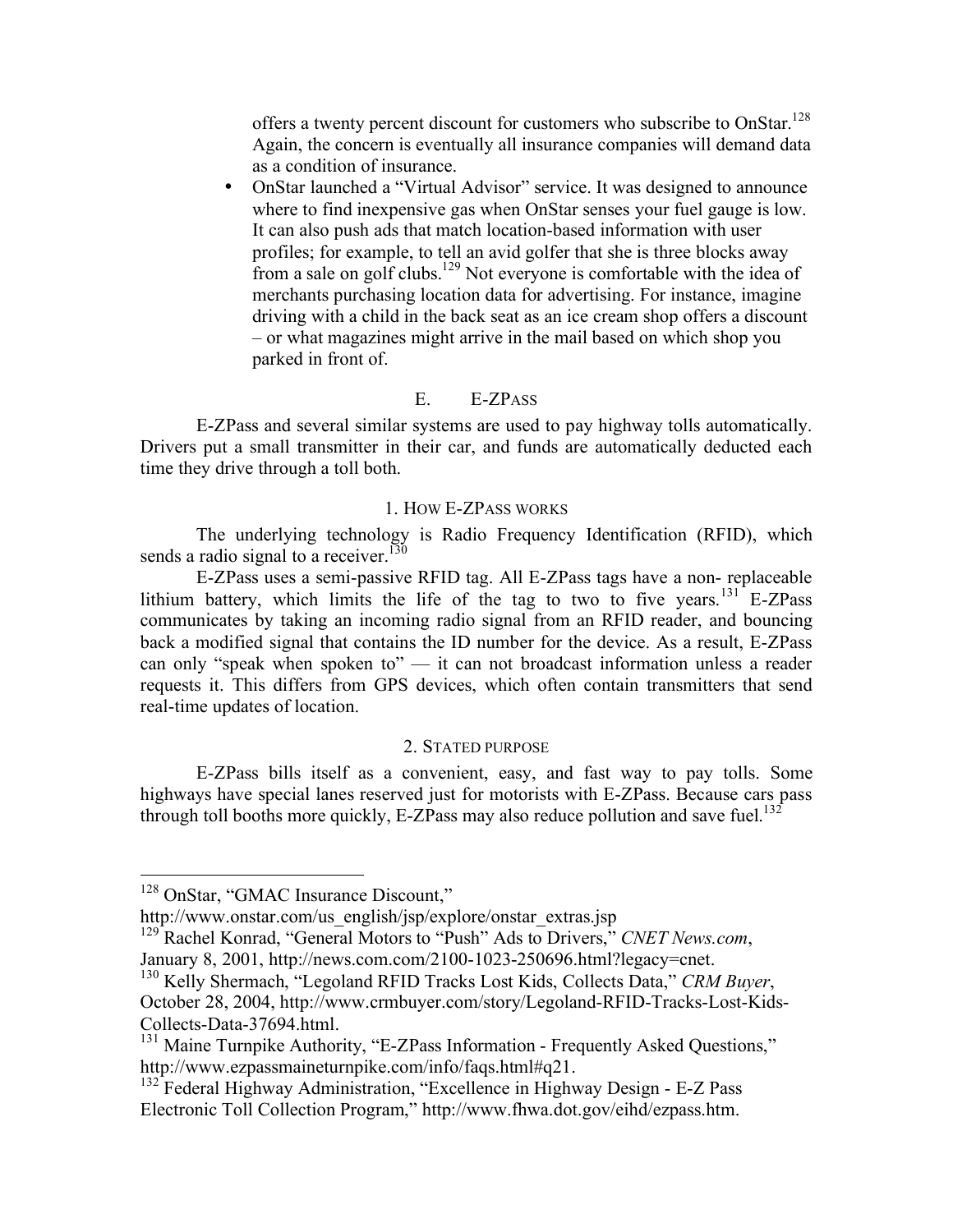offers a twenty percent discount for customers who subscribe to OnStar.<sup>128</sup> Again, the concern is eventually all insurance companies will demand data as a condition of insurance.

• OnStar launched a "Virtual Advisor" service. It was designed to announce where to find inexpensive gas when OnStar senses your fuel gauge is low. It can also push ads that match location-based information with user profiles; for example, to tell an avid golfer that she is three blocks away from a sale on golf clubs.<sup>129</sup> Not everyone is comfortable with the idea of merchants purchasing location data for advertising. For instance, imagine driving with a child in the back seat as an ice cream shop offers a discount – or what magazines might arrive in the mail based on which shop you parked in front of.

#### E. E-ZPASS

E-ZPass and several similar systems are used to pay highway tolls automatically. Drivers put a small transmitter in their car, and funds are automatically deducted each time they drive through a toll both.

#### 1. HOW E-ZPASS WORKS

The underlying technology is Radio Frequency Identification (RFID), which sends a radio signal to a receiver.<sup>130</sup>

E-ZPass uses a semi-passive RFID tag. All E-ZPass tags have a non- replaceable lithium battery, which limits the life of the tag to two to five years.<sup>131</sup> E-ZPass communicates by taking an incoming radio signal from an RFID reader, and bouncing back a modified signal that contains the ID number for the device. As a result, E-ZPass can only "speak when spoken to" — it can not broadcast information unless a reader requests it. This differs from GPS devices, which often contain transmitters that send real-time updates of location.

#### 2. STATED PURPOSE

E-ZPass bills itself as a convenient, easy, and fast way to pay tolls. Some highways have special lanes reserved just for motorists with E-ZPass. Because cars pass through toll booths more quickly, E-ZPass may also reduce pollution and save fuel.<sup>132</sup>

<sup>129</sup> Rachel Konrad, "General Motors to "Push" Ads to Drivers," *CNET News.com*,

 <sup>128</sup> OnStar, "GMAC Insurance Discount,"

http://www.onstar.com/us\_english/jsp/explore/onstar\_extras.jsp

January 8, 2001, http://news.com.com/2100-1023-250696.html?legacy=cnet. <sup>130</sup> Kelly Shermach, "Legoland RFID Tracks Lost Kids, Collects Data," *CRM Buyer*, October 28, 2004, http://www.crmbuyer.com/story/Legoland-RFID-Tracks-Lost-Kids-

Collects-Data-37694.html.<br><sup>131</sup> Maine Turnpike Authority, "E-ZPass Information - Frequently Asked Questions," http://www.ezpassmaineturnpike.com/info/faqs.html#q21.

<sup>&</sup>lt;sup>132</sup> Federal Highway Administration, "Excellence in Highway Design - E-Z Pass Electronic Toll Collection Program," http://www.fhwa.dot.gov/eihd/ezpass.htm.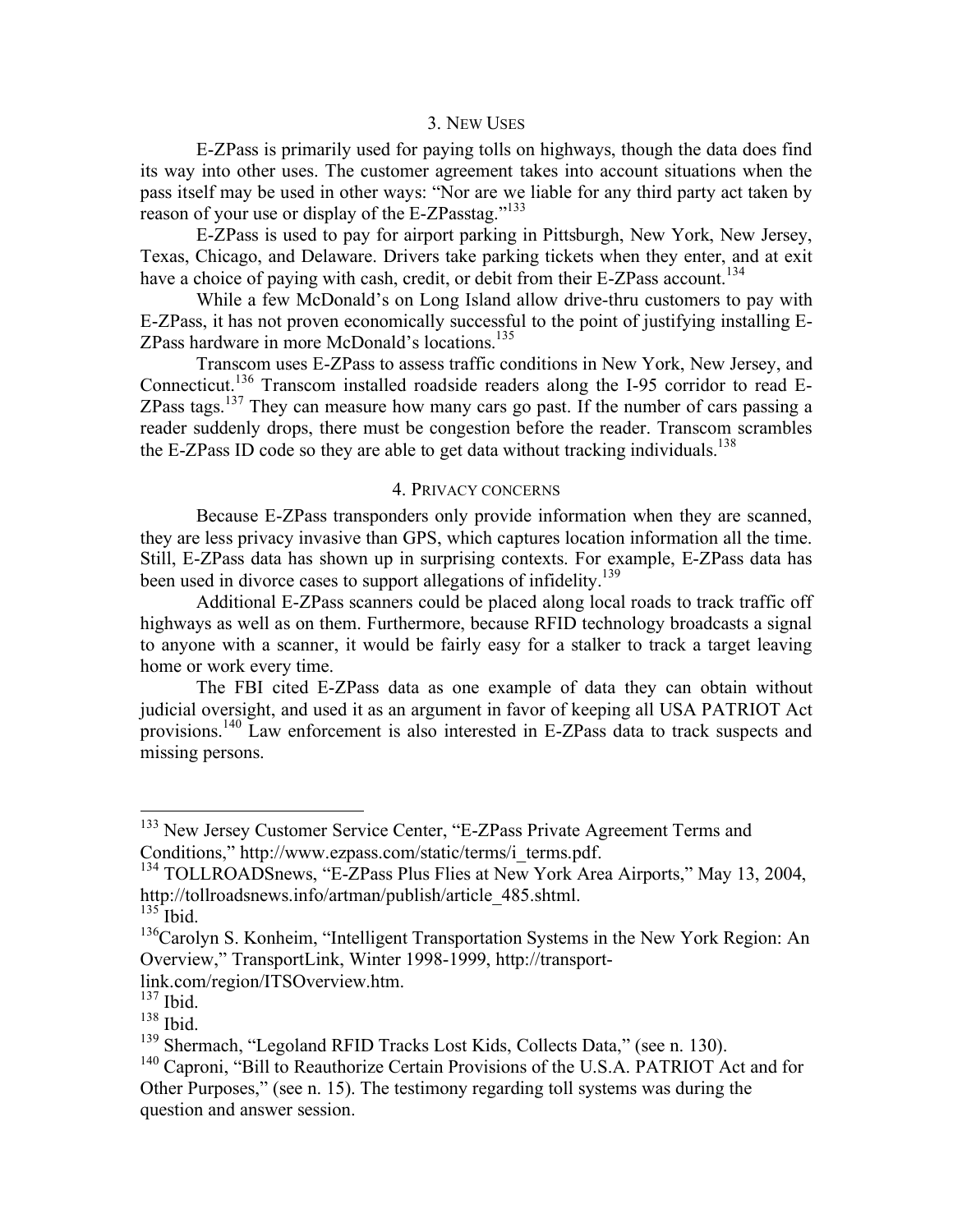#### 3. NEW USES

E-ZPass is primarily used for paying tolls on highways, though the data does find its way into other uses. The customer agreement takes into account situations when the pass itself may be used in other ways: "Nor are we liable for any third party act taken by reason of your use or display of the E-ZPasstag."<sup>133</sup>

E-ZPass is used to pay for airport parking in Pittsburgh, New York, New Jersey, Texas, Chicago, and Delaware. Drivers take parking tickets when they enter, and at exit have a choice of paying with cash, credit, or debit from their E-ZPass account.<sup>134</sup>

While a few McDonald's on Long Island allow drive-thru customers to pay with E-ZPass, it has not proven economically successful to the point of justifying installing E-ZPass hardware in more McDonald's locations. 135

Transcom uses E-ZPass to assess traffic conditions in New York, New Jersey, and Connecticut.<sup>136</sup> Transcom installed roadside readers along the I-95 corridor to read E-ZPass tags.<sup>137</sup> They can measure how many cars go past. If the number of cars passing a reader suddenly drops, there must be congestion before the reader. Transcom scrambles the E-ZPass ID code so they are able to get data without tracking individuals. 138

# 4. PRIVACY CONCERNS

Because E-ZPass transponders only provide information when they are scanned, they are less privacy invasive than GPS, which captures location information all the time. Still, E-ZPass data has shown up in surprising contexts. For example, E-ZPass data has been used in divorce cases to support allegations of infidelity.<sup>139</sup>

Additional E-ZPass scanners could be placed along local roads to track traffic off highways as well as on them. Furthermore, because RFID technology broadcasts a signal to anyone with a scanner, it would be fairly easy for a stalker to track a target leaving home or work every time.

The FBI cited E-ZPass data as one example of data they can obtain without judicial oversight, and used it as an argument in favor of keeping all USA PATRIOT Act provisions.<sup>140</sup> Law enforcement is also interested in E-ZPass data to track suspects and missing persons.

<sup>&</sup>lt;sup>133</sup> New Jersey Customer Service Center, "E-ZPass Private Agreement Terms and Conditions," http://www.ezpass.com/static/terms/i\_terms.pdf. <sup>134</sup> TOLLROADSnews, "E-ZPass Plus Flies at New York Area Airports," May 13, 2004,

http://tollroadsnews.info/artman/publish/article\_485.shtml. <sup>135</sup> Ibid.

<sup>&</sup>lt;sup>136</sup>Carolyn S. Konheim, "Intelligent Transportation Systems in the New York Region: An Overview," TransportLink, Winter 1998-1999, http://transport-

link.com/region/ITSOverview.htm. <sup>137</sup> Ibid.

<sup>&</sup>lt;sup>138</sup> Ibid.<br><sup>139</sup> Shermach, "Legoland RFID Tracks Lost Kids, Collects Data," (see n. 130).

 $140$  Caproni, "Bill to Reauthorize Certain Provisions of the U.S.A. PATRIOT Act and for Other Purposes," (see n. 15). The testimony regarding toll systems was during the question and answer session.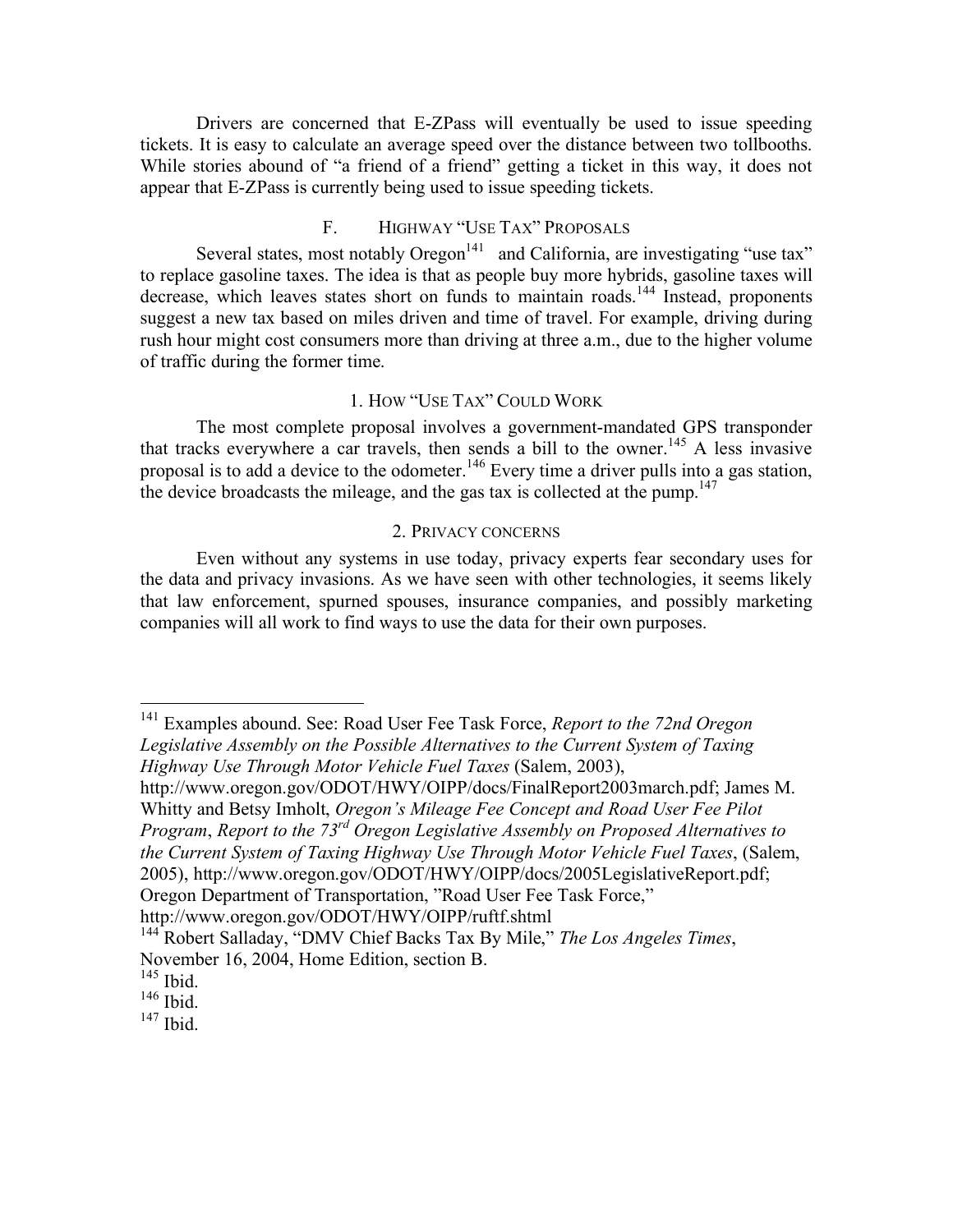Drivers are concerned that E-ZPass will eventually be used to issue speeding tickets. It is easy to calculate an average speed over the distance between two tollbooths. While stories abound of "a friend of a friend" getting a ticket in this way, it does not appear that E-ZPass is currently being used to issue speeding tickets.

# F. HIGHWAY "USE TAX" PROPOSALS

Several states, most notably  $O$ regon $141$  and California, are investigating "use tax" to replace gasoline taxes. The idea is that as people buy more hybrids, gasoline taxes will decrease, which leaves states short on funds to maintain roads.<sup>144</sup> Instead, proponents suggest a new tax based on miles driven and time of travel. For example, driving during rush hour might cost consumers more than driving at three a.m., due to the higher volume of traffic during the former time.

# 1. HOW "USE TAX" COULD WORK

The most complete proposal involves a government-mandated GPS transponder that tracks everywhere a car travels, then sends a bill to the owner. <sup>145</sup> A less invasive proposal is to add a device to the odometer.<sup>146</sup> Every time a driver pulls into a gas station, the device broadcasts the mileage, and the gas tax is collected at the pump.<sup>147</sup>

### 2. PRIVACY CONCERNS

Even without any systems in use today, privacy experts fear secondary uses for the data and privacy invasions. As we have seen with other technologies, it seems likely that law enforcement, spurned spouses, insurance companies, and possibly marketing companies will all work to find ways to use the data for their own purposes.

 141 Examples abound. See: Road User Fee Task Force, *Report to the 72nd Oregon Legislative Assembly on the Possible Alternatives to the Current System of Taxing Highway Use Through Motor Vehicle Fuel Taxes* (Salem, 2003),

http://www.oregon.gov/ODOT/HWY/OIPP/docs/FinalReport2003march.pdf; James M. Whitty and Betsy Imholt, *Oregon's Mileage Fee Concept and Road User Fee Pilot Program*, *Report to the 73rd Oregon Legislative Assembly on Proposed Alternatives to the Current System of Taxing Highway Use Through Motor Vehicle Fuel Taxes*, (Salem, 2005), http://www.oregon.gov/ODOT/HWY/OIPP/docs/2005LegislativeReport.pdf; Oregon Department of Transportation, "Road User Fee Task Force,"

http://www.oregon.gov/ODOT/HWY/OIPP/ruftf.shtml

<sup>144</sup> Robert Salladay, "DMV Chief Backs Tax By Mile," *The Los Angeles Times*, November 16, 2004, Home Edition, section B. <sup>145</sup> Ibid.

 $146$  Ibid.

 $147$  Ibid.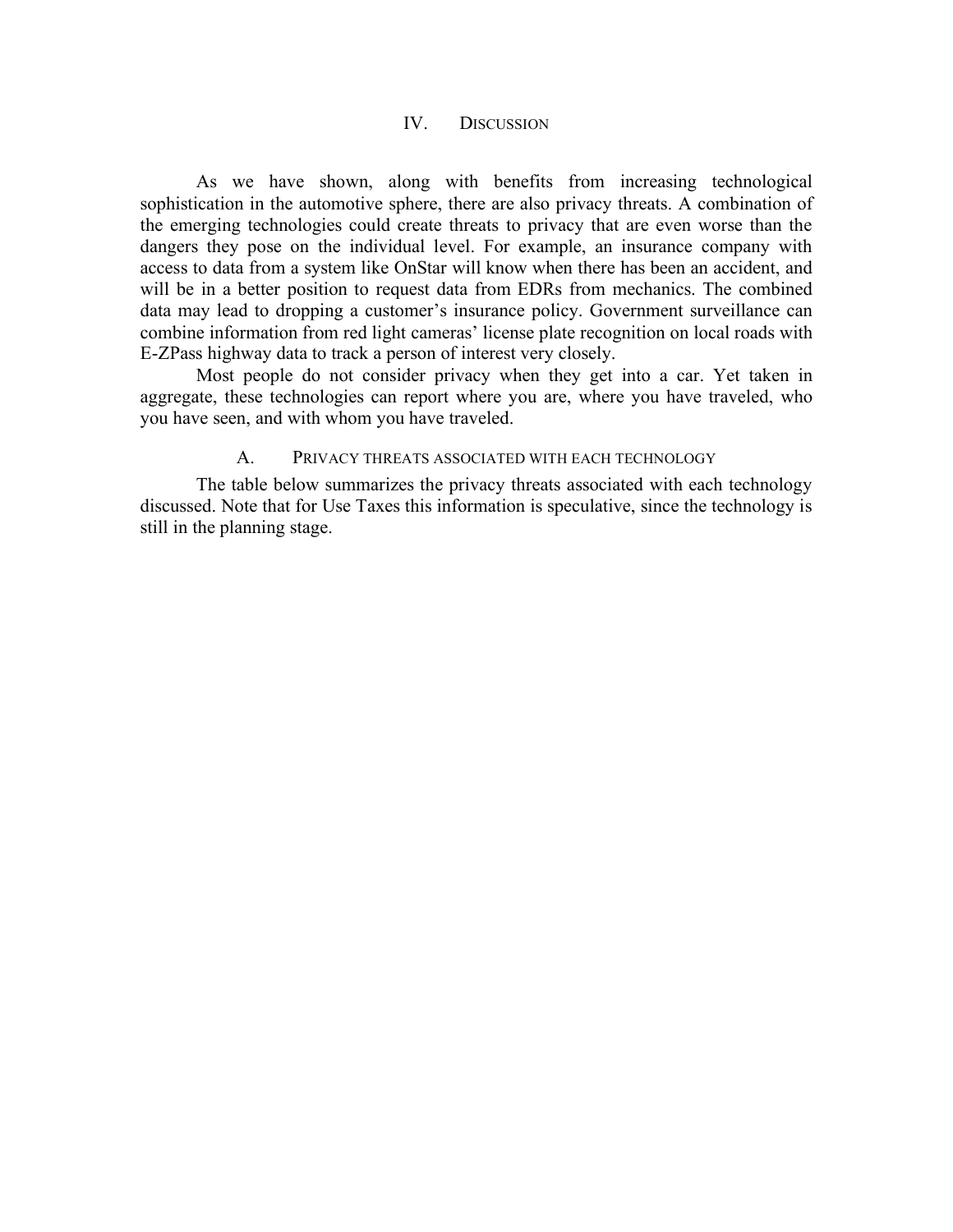## IV. DISCUSSION

As we have shown, along with benefits from increasing technological sophistication in the automotive sphere, there are also privacy threats. A combination of the emerging technologies could create threats to privacy that are even worse than the dangers they pose on the individual level. For example, an insurance company with access to data from a system like OnStar will know when there has been an accident, and will be in a better position to request data from EDRs from mechanics. The combined data may lead to dropping a customer's insurance policy. Government surveillance can combine information from red light cameras' license plate recognition on local roads with E-ZPass highway data to track a person of interest very closely.

Most people do not consider privacy when they get into a car. Yet taken in aggregate, these technologies can report where you are, where you have traveled, who you have seen, and with whom you have traveled.

### A. PRIVACY THREATS ASSOCIATED WITH EACH TECHNOLOGY

The table below summarizes the privacy threats associated with each technology discussed. Note that for Use Taxes this information is speculative, since the technology is still in the planning stage.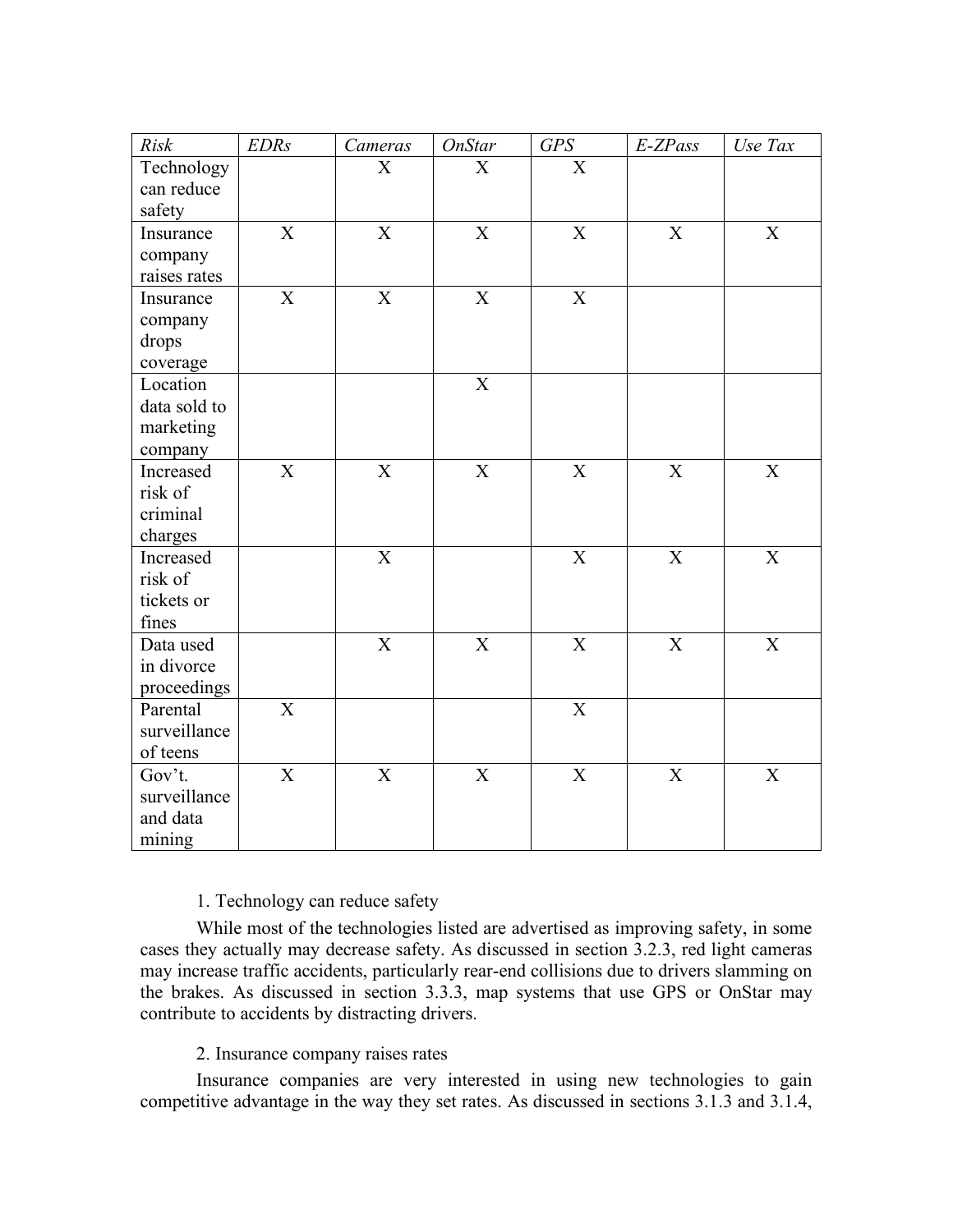| Risk         | <b>EDRs</b>    | Cameras                   | <b>OnStar</b>             | GPS                       | E-ZPass                   | Use Tax                   |
|--------------|----------------|---------------------------|---------------------------|---------------------------|---------------------------|---------------------------|
| Technology   |                | $\boldsymbol{\mathrm{X}}$ | $\mathbf X$               | $\overline{X}$            |                           |                           |
| can reduce   |                |                           |                           |                           |                           |                           |
| safety       |                |                           |                           |                           |                           |                           |
| Insurance    | X              | $\mathbf X$               | X                         | X                         | $\mathbf X$               | $\mathbf X$               |
| company      |                |                           |                           |                           |                           |                           |
| raises rates |                |                           |                           |                           |                           |                           |
| Insurance    | X              | $\overline{\text{X}}$     | $\mathbf X$               | $\mathbf X$               |                           |                           |
| company      |                |                           |                           |                           |                           |                           |
| drops        |                |                           |                           |                           |                           |                           |
| coverage     |                |                           |                           |                           |                           |                           |
| Location     |                |                           | $\mathbf X$               |                           |                           |                           |
| data sold to |                |                           |                           |                           |                           |                           |
| marketing    |                |                           |                           |                           |                           |                           |
| company      |                |                           |                           |                           |                           |                           |
| Increased    | $\mathbf X$    | $\overline{\mathbf{X}}$   | $\overline{X}$            | $\mathbf X$               | $\mathbf X$               | $\overline{X}$            |
| risk of      |                |                           |                           |                           |                           |                           |
| criminal     |                |                           |                           |                           |                           |                           |
| charges      |                |                           |                           |                           |                           |                           |
| Increased    |                | $\overline{\mathbf{X}}$   |                           | $\mathbf X$               | $\mathbf X$               | $\mathbf X$               |
| risk of      |                |                           |                           |                           |                           |                           |
| tickets or   |                |                           |                           |                           |                           |                           |
| fines        |                |                           |                           |                           |                           |                           |
| Data used    |                | $\overline{\text{X}}$     | $\mathbf X$               | $\boldsymbol{\mathrm{X}}$ | $\boldsymbol{\mathrm{X}}$ | $\boldsymbol{\mathrm{X}}$ |
| in divorce   |                |                           |                           |                           |                           |                           |
| proceedings  |                |                           |                           |                           |                           |                           |
| Parental     | $\overline{X}$ |                           |                           | $\overline{\text{X}}$     |                           |                           |
| surveillance |                |                           |                           |                           |                           |                           |
| of teens     |                |                           |                           |                           |                           |                           |
| Gov't.       | $\mathbf X$    | $\mathbf X$               | $\boldsymbol{\mathrm{X}}$ | $\mathbf X$               | $\boldsymbol{\mathrm{X}}$ | $\mathbf X$               |
| surveillance |                |                           |                           |                           |                           |                           |
| and data     |                |                           |                           |                           |                           |                           |
| mining       |                |                           |                           |                           |                           |                           |

# 1. Technology can reduce safety

While most of the technologies listed are advertised as improving safety, in some cases they actually may decrease safety. As discussed in section 3.2.3, red light cameras may increase traffic accidents, particularly rear-end collisions due to drivers slamming on the brakes. As discussed in section 3.3.3, map systems that use GPS or OnStar may contribute to accidents by distracting drivers.

# 2. Insurance company raises rates

Insurance companies are very interested in using new technologies to gain competitive advantage in the way they set rates. As discussed in sections 3.1.3 and 3.1.4,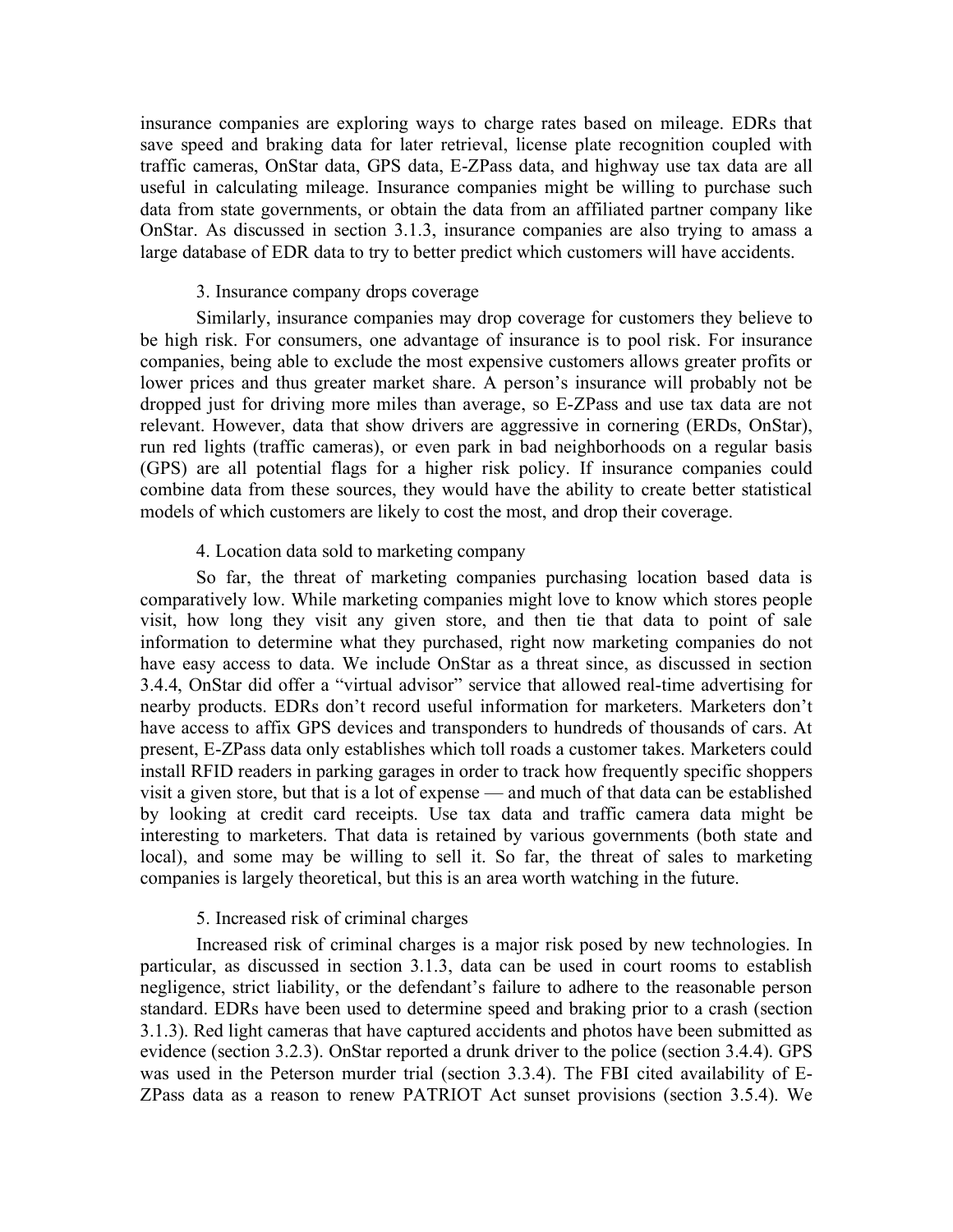insurance companies are exploring ways to charge rates based on mileage. EDRs that save speed and braking data for later retrieval, license plate recognition coupled with traffic cameras, OnStar data, GPS data, E-ZPass data, and highway use tax data are all useful in calculating mileage. Insurance companies might be willing to purchase such data from state governments, or obtain the data from an affiliated partner company like OnStar. As discussed in section 3.1.3, insurance companies are also trying to amass a large database of EDR data to try to better predict which customers will have accidents.

### 3. Insurance company drops coverage

Similarly, insurance companies may drop coverage for customers they believe to be high risk. For consumers, one advantage of insurance is to pool risk. For insurance companies, being able to exclude the most expensive customers allows greater profits or lower prices and thus greater market share. A person's insurance will probably not be dropped just for driving more miles than average, so E-ZPass and use tax data are not relevant. However, data that show drivers are aggressive in cornering (ERDs, OnStar), run red lights (traffic cameras), or even park in bad neighborhoods on a regular basis (GPS) are all potential flags for a higher risk policy. If insurance companies could combine data from these sources, they would have the ability to create better statistical models of which customers are likely to cost the most, and drop their coverage.

### 4. Location data sold to marketing company

So far, the threat of marketing companies purchasing location based data is comparatively low. While marketing companies might love to know which stores people visit, how long they visit any given store, and then tie that data to point of sale information to determine what they purchased, right now marketing companies do not have easy access to data. We include OnStar as a threat since, as discussed in section 3.4.4, OnStar did offer a "virtual advisor" service that allowed real-time advertising for nearby products. EDRs don't record useful information for marketers. Marketers don't have access to affix GPS devices and transponders to hundreds of thousands of cars. At present, E-ZPass data only establishes which toll roads a customer takes. Marketers could install RFID readers in parking garages in order to track how frequently specific shoppers visit a given store, but that is a lot of expense — and much of that data can be established by looking at credit card receipts. Use tax data and traffic camera data might be interesting to marketers. That data is retained by various governments (both state and local), and some may be willing to sell it. So far, the threat of sales to marketing companies is largely theoretical, but this is an area worth watching in the future.

#### 5. Increased risk of criminal charges

Increased risk of criminal charges is a major risk posed by new technologies. In particular, as discussed in section 3.1.3, data can be used in court rooms to establish negligence, strict liability, or the defendant's failure to adhere to the reasonable person standard. EDRs have been used to determine speed and braking prior to a crash (section 3.1.3). Red light cameras that have captured accidents and photos have been submitted as evidence (section 3.2.3). OnStar reported a drunk driver to the police (section 3.4.4). GPS was used in the Peterson murder trial (section 3.3.4). The FBI cited availability of E-ZPass data as a reason to renew PATRIOT Act sunset provisions (section 3.5.4). We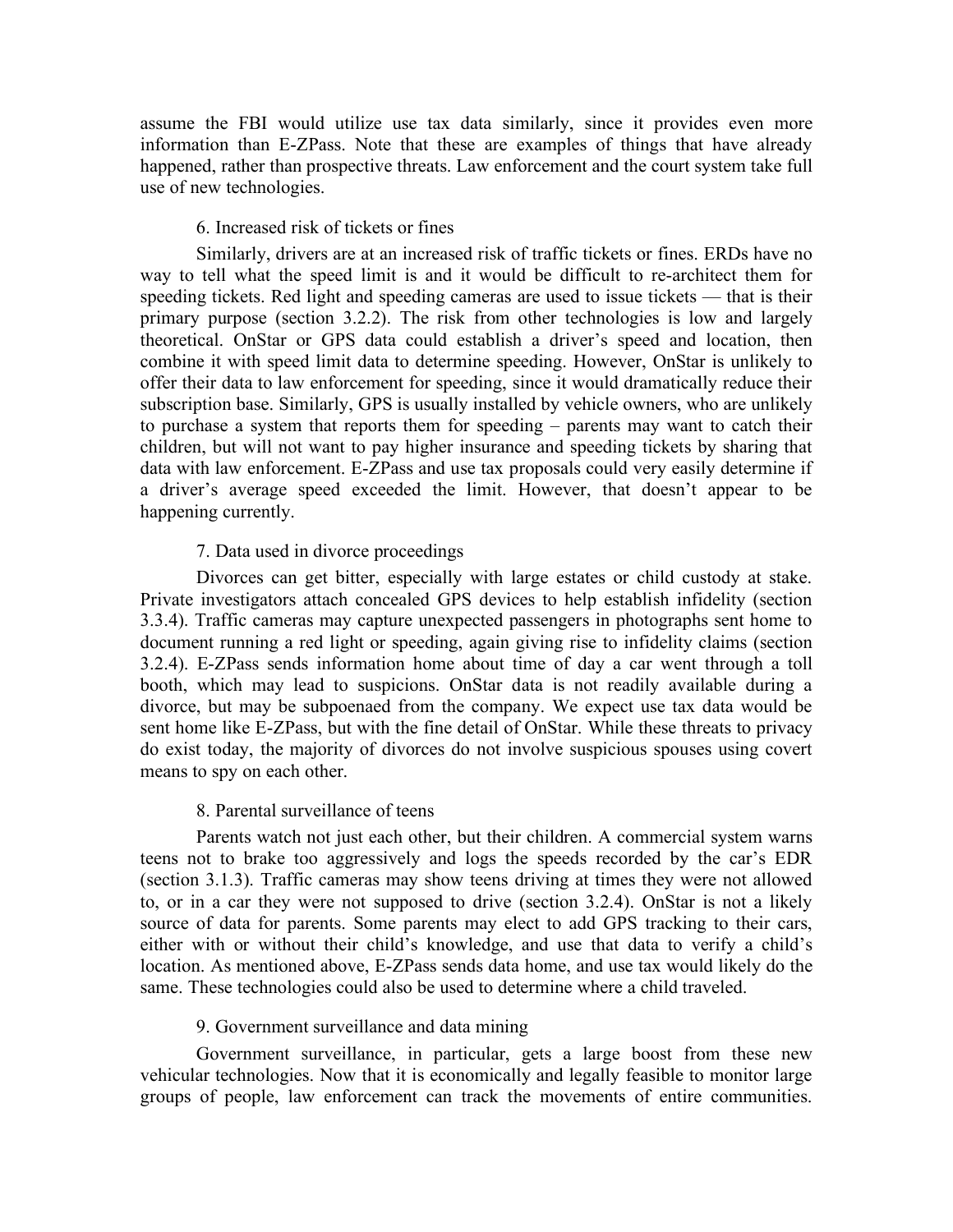assume the FBI would utilize use tax data similarly, since it provides even more information than E-ZPass. Note that these are examples of things that have already happened, rather than prospective threats. Law enforcement and the court system take full use of new technologies.

## 6. Increased risk of tickets or fines

Similarly, drivers are at an increased risk of traffic tickets or fines. ERDs have no way to tell what the speed limit is and it would be difficult to re-architect them for speeding tickets. Red light and speeding cameras are used to issue tickets — that is their primary purpose (section 3.2.2). The risk from other technologies is low and largely theoretical. OnStar or GPS data could establish a driver's speed and location, then combine it with speed limit data to determine speeding. However, OnStar is unlikely to offer their data to law enforcement for speeding, since it would dramatically reduce their subscription base. Similarly, GPS is usually installed by vehicle owners, who are unlikely to purchase a system that reports them for speeding – parents may want to catch their children, but will not want to pay higher insurance and speeding tickets by sharing that data with law enforcement. E-ZPass and use tax proposals could very easily determine if a driver's average speed exceeded the limit. However, that doesn't appear to be happening currently.

### 7. Data used in divorce proceedings

Divorces can get bitter, especially with large estates or child custody at stake. Private investigators attach concealed GPS devices to help establish infidelity (section 3.3.4). Traffic cameras may capture unexpected passengers in photographs sent home to document running a red light or speeding, again giving rise to infidelity claims (section 3.2.4). E-ZPass sends information home about time of day a car went through a toll booth, which may lead to suspicions. OnStar data is not readily available during a divorce, but may be subpoenaed from the company. We expect use tax data would be sent home like E-ZPass, but with the fine detail of OnStar. While these threats to privacy do exist today, the majority of divorces do not involve suspicious spouses using covert means to spy on each other.

#### 8. Parental surveillance of teens

Parents watch not just each other, but their children. A commercial system warns teens not to brake too aggressively and logs the speeds recorded by the car's EDR (section 3.1.3). Traffic cameras may show teens driving at times they were not allowed to, or in a car they were not supposed to drive (section 3.2.4). OnStar is not a likely source of data for parents. Some parents may elect to add GPS tracking to their cars, either with or without their child's knowledge, and use that data to verify a child's location. As mentioned above, E-ZPass sends data home, and use tax would likely do the same. These technologies could also be used to determine where a child traveled.

#### 9. Government surveillance and data mining

Government surveillance, in particular, gets a large boost from these new vehicular technologies. Now that it is economically and legally feasible to monitor large groups of people, law enforcement can track the movements of entire communities.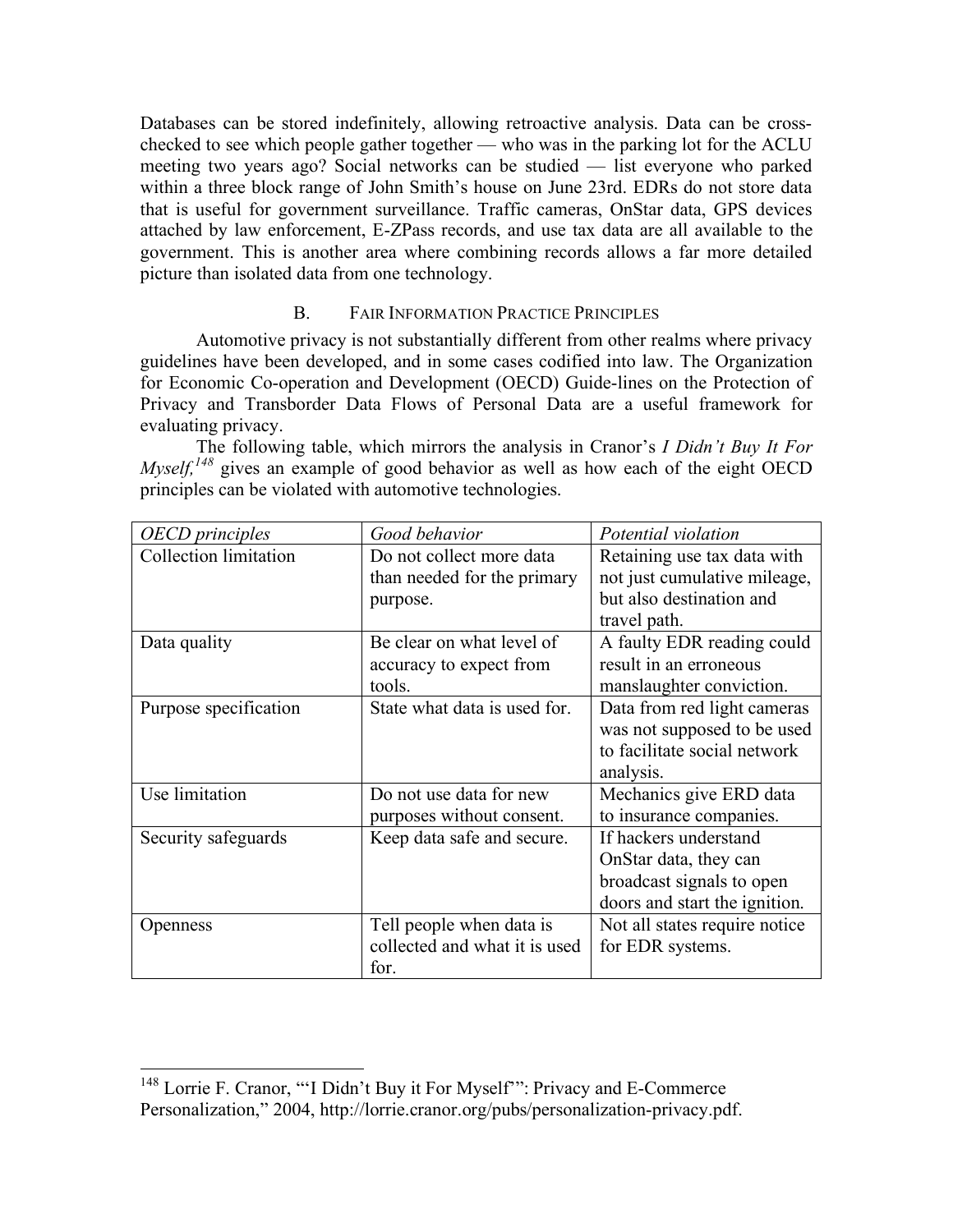Databases can be stored indefinitely, allowing retroactive analysis. Data can be crosschecked to see which people gather together — who was in the parking lot for the ACLU meeting two years ago? Social networks can be studied — list everyone who parked within a three block range of John Smith's house on June 23rd. EDRs do not store data that is useful for government surveillance. Traffic cameras, OnStar data, GPS devices attached by law enforcement, E-ZPass records, and use tax data are all available to the government. This is another area where combining records allows a far more detailed picture than isolated data from one technology.

# B. FAIR INFORMATION PRACTICE PRINCIPLES

Automotive privacy is not substantially different from other realms where privacy guidelines have been developed, and in some cases codified into law. The Organization for Economic Co-operation and Development (OECD) Guide-lines on the Protection of Privacy and Transborder Data Flows of Personal Data are a useful framework for evaluating privacy.

The following table, which mirrors the analysis in Cranor's *I Didn't Buy It For Myself,*<sup>148</sup> gives an example of good behavior as well as how each of the eight OECD principles can be violated with automotive technologies.

| <b>OECD</b> principles       | Good behavior                 | Potential violation           |
|------------------------------|-------------------------------|-------------------------------|
| <b>Collection limitation</b> | Do not collect more data      | Retaining use tax data with   |
|                              | than needed for the primary   | not just cumulative mileage,  |
|                              | purpose.                      | but also destination and      |
|                              |                               | travel path.                  |
| Data quality                 | Be clear on what level of     | A faulty EDR reading could    |
|                              | accuracy to expect from       | result in an erroneous        |
|                              | tools.                        | manslaughter conviction.      |
| Purpose specification        | State what data is used for.  | Data from red light cameras   |
|                              |                               | was not supposed to be used   |
|                              |                               | to facilitate social network  |
|                              |                               | analysis.                     |
| Use limitation               | Do not use data for new       | Mechanics give ERD data       |
|                              | purposes without consent.     | to insurance companies.       |
| Security safeguards          | Keep data safe and secure.    | If hackers understand         |
|                              |                               | OnStar data, they can         |
|                              |                               | broadcast signals to open     |
|                              |                               | doors and start the ignition. |
| Openness                     | Tell people when data is      | Not all states require notice |
|                              | collected and what it is used | for EDR systems.              |
|                              | for.                          |                               |

<sup>&</sup>lt;sup>148</sup> Lorrie F. Cranor, ""I Didn't Buy it For Myself"": Privacy and E-Commerce Personalization," 2004, http://lorrie.cranor.org/pubs/personalization-privacy.pdf.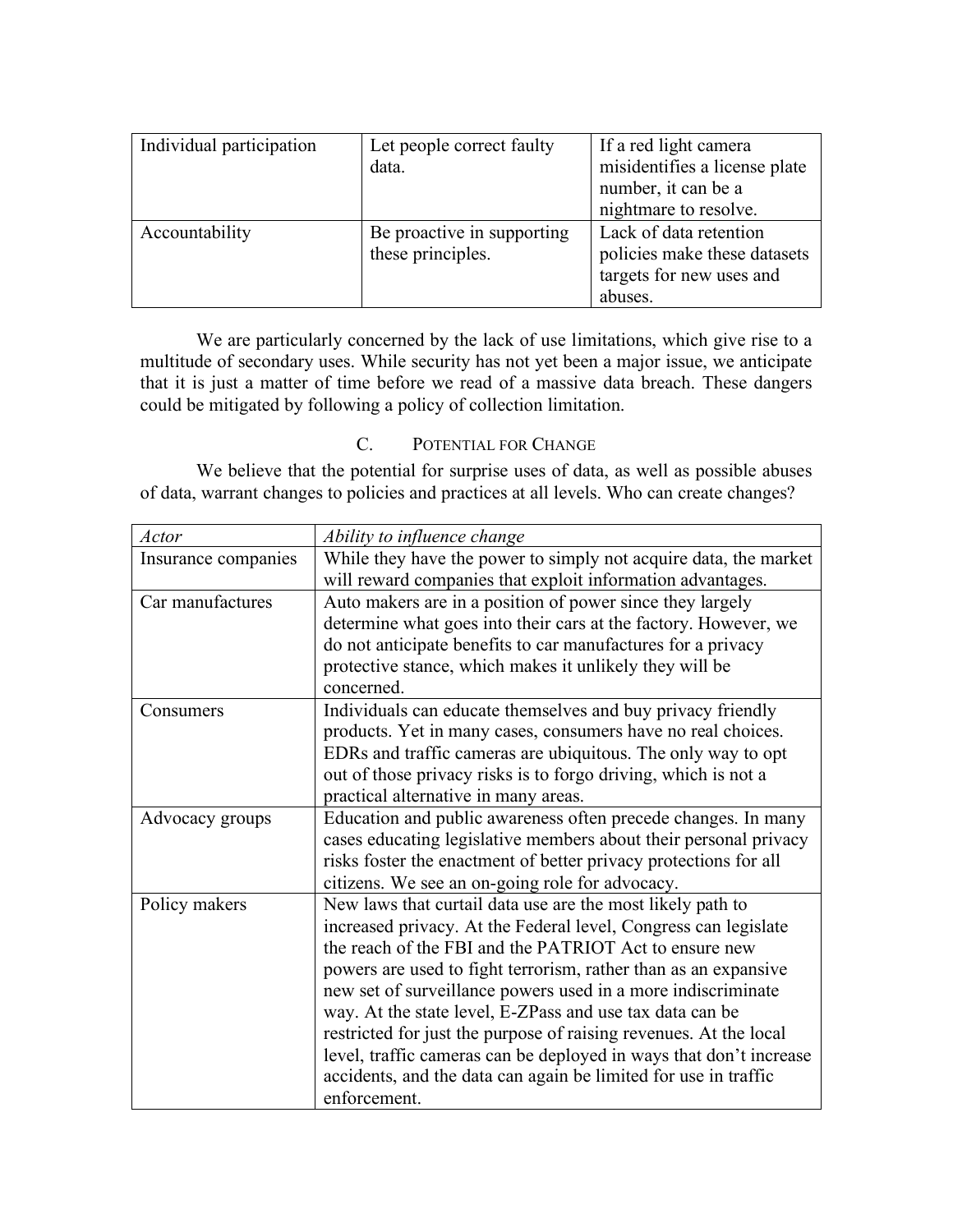| Individual participation | Let people correct faulty  | If a red light camera         |
|--------------------------|----------------------------|-------------------------------|
|                          | data.                      | misidentifies a license plate |
|                          |                            | number, it can be a           |
|                          |                            | nightmare to resolve.         |
| Accountability           | Be proactive in supporting | Lack of data retention        |
|                          | these principles.          | policies make these datasets  |
|                          |                            | targets for new uses and      |
|                          |                            | abuses.                       |

We are particularly concerned by the lack of use limitations, which give rise to a multitude of secondary uses. While security has not yet been a major issue, we anticipate that it is just a matter of time before we read of a massive data breach. These dangers could be mitigated by following a policy of collection limitation.

# C. POTENTIAL FOR CHANGE

We believe that the potential for surprise uses of data, as well as possible abuses of data, warrant changes to policies and practices at all levels. Who can create changes?

| Actor               | Ability to influence change                                        |
|---------------------|--------------------------------------------------------------------|
| Insurance companies | While they have the power to simply not acquire data, the market   |
|                     | will reward companies that exploit information advantages.         |
| Car manufactures    | Auto makers are in a position of power since they largely          |
|                     | determine what goes into their cars at the factory. However, we    |
|                     | do not anticipate benefits to car manufactures for a privacy       |
|                     | protective stance, which makes it unlikely they will be            |
|                     | concerned.                                                         |
| Consumers           | Individuals can educate themselves and buy privacy friendly        |
|                     | products. Yet in many cases, consumers have no real choices.       |
|                     | EDRs and traffic cameras are ubiquitous. The only way to opt       |
|                     | out of those privacy risks is to forgo driving, which is not a     |
|                     | practical alternative in many areas.                               |
| Advocacy groups     | Education and public awareness often precede changes. In many      |
|                     | cases educating legislative members about their personal privacy   |
|                     | risks foster the enactment of better privacy protections for all   |
|                     | citizens. We see an on-going role for advocacy.                    |
| Policy makers       | New laws that curtail data use are the most likely path to         |
|                     | increased privacy. At the Federal level, Congress can legislate    |
|                     | the reach of the FBI and the PATRIOT Act to ensure new             |
|                     | powers are used to fight terrorism, rather than as an expansive    |
|                     | new set of surveillance powers used in a more indiscriminate       |
|                     | way. At the state level, E-ZPass and use tax data can be           |
|                     | restricted for just the purpose of raising revenues. At the local  |
|                     | level, traffic cameras can be deployed in ways that don't increase |
|                     | accidents, and the data can again be limited for use in traffic    |
|                     | enforcement.                                                       |